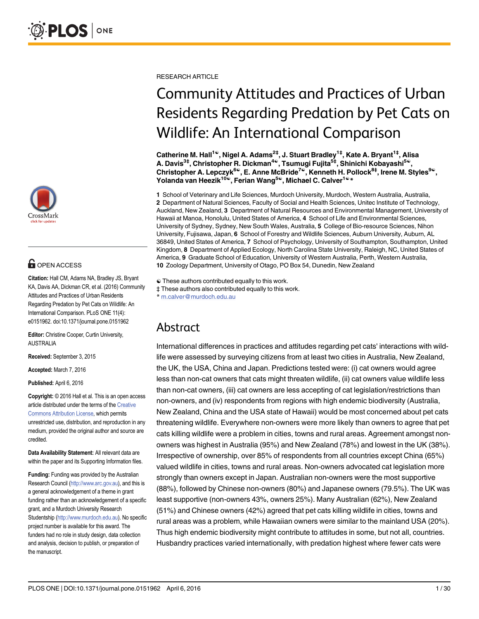

# **OPEN ACCESS**

Citation: Hall CM, Adams NA, Bradley JS, Bryant KA, Davis AA, Dickman CR, et al. (2016) Community Attitudes and Practices of Urban Residents Regarding Predation by Pet Cats on Wildlife: An International Comparison. PLoS ONE 11(4): e0151962. doi:10.1371/journal.pone.0151962

Editor: Christine Cooper, Curtin University, AUSTRALIA

Received: September 3, 2015

Accepted: March 7, 2016

Published: April 6, 2016

Copyright: © 2016 Hall et al. This is an open access article distributed under the terms of the [Creative](http://creativecommons.org/licenses/by/4.0/) [Commons Attribution License](http://creativecommons.org/licenses/by/4.0/), which permits unrestricted use, distribution, and reproduction in any medium, provided the original author and source are credited.

Data Availability Statement: All relevant data are within the paper and its Supporting Information files.

Funding: Funding was provided by the Australian Research Council [\(http://www.arc.gov.au\)](http://www.arc.gov.au), and this is a general acknowledgement of a theme in grant funding rather than an acknowledgement of a specific grant, and a Murdoch University Research Studentship ([http://www.murdoch.edu.au\)](http://www.murdoch.edu.au). No specific project number is available for this award. The funders had no role in study design, data collection and analysis, decision to publish, or preparation of the manuscript.

RESEARCH ARTICLE

# Community Attitudes and Practices of Urban Residents Regarding Predation by Pet Cats on Wildlife: An International Comparison

Catherine M. Hall<sup>1©</sup>, Nigel A. Adams<sup>2‡</sup>, J. Stuart Bradley<sup>1‡</sup>, Kate A. Bryant<sup>1‡</sup>, Alisa A. Davis<sup>3‡</sup>, Christopher R. Dickman<sup>4©</sup>, Tsumugi Fujita<sup>5‡</sup>, Shinichi Kobayashi<sup>5©</sup>, Christopher A. Lepczyk $^{6\circ}$ , E. Anne McBride<sup>7©</sup>, Kenneth H. Pollock $^{8\ddagger}$ , Irene M. Styles $^{9\circ}$ , Yolanda van Heezik<sup>10℃</sup>, Ferian Wang<sup>5©</sup>, Michael C. Calver<sup>1©</sup> \*

1 School of Veterinary and Life Sciences, Murdoch University, Murdoch, Western Australia, Australia, 2 Department of Natural Sciences, Faculty of Social and Health Sciences, Unitec Institute of Technology, Auckland, New Zealand, 3 Department of Natural Resources and Environmental Management, University of Hawaii at Manoa, Honolulu, United States of America, 4 School of Life and Environmental Sciences, University of Sydney, Sydney, New South Wales, Australia, 5 College of Bio-resource Sciences, Nihon University, Fujisawa, Japan, 6 School of Forestry and Wildlife Sciences, Auburn University, Auburn, AL 36849, United States of America, 7 School of Psychology, University of Southampton, Southampton, United Kingdom, 8 Department of Applied Ecology, North Carolina State University, Raleigh, NC, United States of America, 9 Graduate School of Education, University of Western Australia, Perth, Western Australia, 10 Zoology Department, University of Otago, PO Box 54, Dunedin, New Zealand

☯ These authors contributed equally to this work.

‡ These authors also contributed equally to this work. \* m.calver@murdoch.edu.au

# Abstract

International differences in practices and attitudes regarding pet cats' interactions with wildlife were assessed by surveying citizens from at least two cities in Australia, New Zealand, the UK, the USA, China and Japan. Predictions tested were: (i) cat owners would agree less than non-cat owners that cats might threaten wildlife, (ii) cat owners value wildlife less than non-cat owners, (iii) cat owners are less accepting of cat legislation/restrictions than non-owners, and (iv) respondents from regions with high endemic biodiversity (Australia, New Zealand, China and the USA state of Hawaii) would be most concerned about pet cats threatening wildlife. Everywhere non-owners were more likely than owners to agree that pet cats killing wildlife were a problem in cities, towns and rural areas. Agreement amongst nonowners was highest in Australia (95%) and New Zealand (78%) and lowest in the UK (38%). Irrespective of ownership, over 85% of respondents from all countries except China (65%) valued wildlife in cities, towns and rural areas. Non-owners advocated cat legislation more strongly than owners except in Japan. Australian non-owners were the most supportive (88%), followed by Chinese non-owners (80%) and Japanese owners (79.5%). The UK was least supportive (non-owners 43%, owners 25%). Many Australian (62%), New Zealand (51%) and Chinese owners (42%) agreed that pet cats killing wildlife in cities, towns and rural areas was a problem, while Hawaiian owners were similar to the mainland USA (20%). Thus high endemic biodiversity might contribute to attitudes in some, but not all, countries. Husbandry practices varied internationally, with predation highest where fewer cats were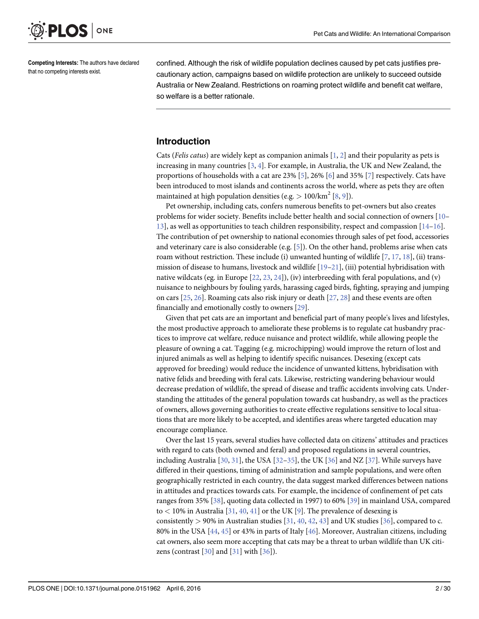<span id="page-1-0"></span>

Competing Interests: The authors have declared that no competing interests exist.

confined. Although the risk of wildlife population declines caused by pet cats justifies precautionary action, campaigns based on wildlife protection are unlikely to succeed outside Australia or New Zealand. Restrictions on roaming protect wildlife and benefit cat welfare, so welfare is a better rationale.

## Introduction

Cats (Felis catus) are widely kept as companion animals  $[1, 2]$  $[1, 2]$  $[1, 2]$  $[1, 2]$  $[1, 2]$  and their popularity as pets is increasing in many countries  $[3, 4]$  $[3, 4]$  $[3, 4]$  $[3, 4]$ . For example, in Australia, the UK and New Zealand, the proportions of households with a cat are 23%  $[5]$  $[5]$ , 26%  $[6]$  $[6]$  and 35%  $[7]$  respectively. Cats have been introduced to most islands and continents across the world, where as pets they are often maintained at high population densities (e.g.  $> 100/km^2$  [\[8](#page-24-0), [9](#page-24-0)]).

Pet ownership, including cats, confers numerous benefits to pet-owners but also creates problems for wider society. Benefits include better health and social connection of owners [[10](#page-24-0)–  $13$ , as well as opportunities to teach children responsibility, respect and compassion  $[14-16]$  $[14-16]$  $[14-16]$  $[14-16]$ . The contribution of pet ownership to national economies through sales of pet food, accessories and veterinary care is also considerable (e.g.  $[5]$  $[5]$ ). On the other hand, problems arise when cats roam without restriction. These include (i) unwanted hunting of wildlife  $[7, 17, 18]$  $[7, 17, 18]$  $[7, 17, 18]$  $[7, 17, 18]$  $[7, 17, 18]$  $[7, 17, 18]$ , (ii) transmission of disease to humans, livestock and wildlife [\[19](#page-24-0)–[21](#page-25-0)], (iii) potential hybridisation with native wildcats (eg. in Europe  $[22, 23, 24]$  $[22, 23, 24]$  $[22, 23, 24]$  $[22, 23, 24]$  $[22, 23, 24]$ ), (iv) interbreeding with feral populations, and (v) nuisance to neighbours by fouling yards, harassing caged birds, fighting, spraying and jumping on cars [\[25,](#page-25-0) [26\]](#page-25-0). Roaming cats also risk injury or death [[27,](#page-25-0) [28\]](#page-25-0) and these events are often financially and emotionally costly to owners [\[29\]](#page-25-0).

Given that pet cats are an important and beneficial part of many people's lives and lifestyles, the most productive approach to ameliorate these problems is to regulate cat husbandry practices to improve cat welfare, reduce nuisance and protect wildlife, while allowing people the pleasure of owning a cat. Tagging (e.g. microchipping) would improve the return of lost and injured animals as well as helping to identify specific nuisances. Desexing (except cats approved for breeding) would reduce the incidence of unwanted kittens, hybridisation with native felids and breeding with feral cats. Likewise, restricting wandering behaviour would decrease predation of wildlife, the spread of disease and traffic accidents involving cats. Understanding the attitudes of the general population towards cat husbandry, as well as the practices of owners, allows governing authorities to create effective regulations sensitive to local situations that are more likely to be accepted, and identifies areas where targeted education may encourage compliance.

Over the last 15 years, several studies have collected data on citizens' attitudes and practices with regard to cats (both owned and feral) and proposed regulations in several countries, including Australia [[30](#page-25-0), [31](#page-25-0)], the USA [[32](#page-25-0)–[35\]](#page-25-0), the UK [[36\]](#page-25-0) and NZ [\[37\]](#page-25-0). While surveys have differed in their questions, timing of administration and sample populations, and were often geographically restricted in each country, the data suggest marked differences between nations in attitudes and practices towards cats. For example, the incidence of confinement of pet cats ranges from 35% [[38](#page-25-0)], quoting data collected in 1997) to 60% [\[39\]](#page-25-0) in mainland USA, compared to  $<$  10% in Australia [[31](#page-25-0), [40](#page-25-0), [41](#page-25-0)] or the UK [[9\]](#page-24-0). The prevalence of desexing is consistently > 90% in Australian studies  $[31, 40, 42, 43]$  $[31, 40, 42, 43]$  $[31, 40, 42, 43]$  $[31, 40, 42, 43]$  $[31, 40, 42, 43]$  $[31, 40, 42, 43]$  $[31, 40, 42, 43]$  $[31, 40, 42, 43]$  $[31, 40, 42, 43]$  and UK studies  $[36]$  $[36]$  $[36]$ , compared to c. 80% in the USA [[44](#page-26-0), [45](#page-26-0)] or 43% in parts of Italy [\[46\]](#page-26-0). Moreover, Australian citizens, including cat owners, also seem more accepting that cats may be a threat to urban wildlife than UK citizens (contrast  $[30]$  $[30]$  and  $[31]$  $[31]$  $[31]$  with  $[36]$  $[36]$  $[36]$ ).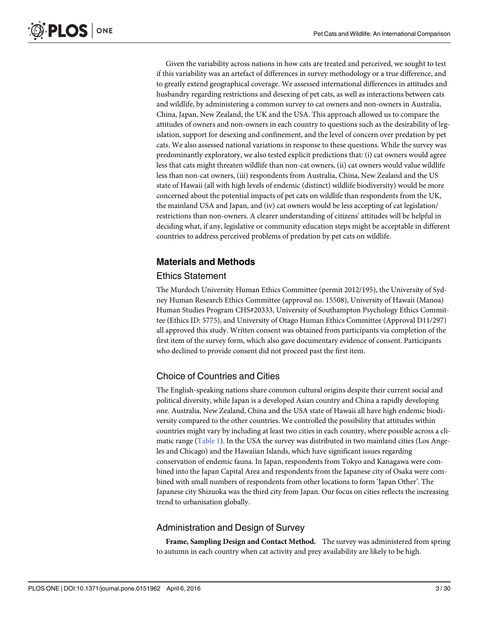<span id="page-2-0"></span>Given the variability across nations in how cats are treated and perceived, we sought to test if this variability was an artefact of differences in survey methodology or a true difference, and to greatly extend geographical coverage. We assessed international differences in attitudes and husbandry regarding restrictions and desexing of pet cats, as well as interactions between cats and wildlife, by administering a common survey to cat owners and non-owners in Australia, China, Japan, New Zealand, the UK and the USA. This approach allowed us to compare the attitudes of owners and non-owners in each country to questions such as the desirability of legislation, support for desexing and confinement, and the level of concern over predation by pet cats. We also assessed national variations in response to these questions. While the survey was predominantly exploratory, we also tested explicit predictions that: (i) cat owners would agree less that cats might threaten wildlife than non-cat owners, (ii) cat owners would value wildlife less than non-cat owners, (iii) respondents from Australia, China, New Zealand and the US state of Hawaii (all with high levels of endemic (distinct) wildlife biodiversity) would be more concerned about the potential impacts of pet cats on wildlife than respondents from the UK, the mainland USA and Japan, and (iv) cat owners would be less accepting of cat legislation/ restrictions than non-owners. A clearer understanding of citizens' attitudes will be helpful in deciding what, if any, legislative or community education steps might be acceptable in different countries to address perceived problems of predation by pet cats on wildlife.

# Materials and Methods

### Ethics Statement

The Murdoch University Human Ethics Committee (permit 2012/195), the University of Sydney Human Research Ethics Committee (approval no. 15508), University of Hawaii (Manoa) Human Studies Program CHS#20333, University of Southampton Psychology Ethics Committee (Ethics ID: 5775), and University of Otago Human Ethics Committee (Approval D11/297) all approved this study. Written consent was obtained from participants via completion of the first item of the survey form, which also gave documentary evidence of consent. Participants who declined to provide consent did not proceed past the first item.

# Choice of Countries and Cities

The English-speaking nations share common cultural origins despite their current social and political diversity, while Japan is a developed Asian country and China a rapidly developing one. Australia, New Zealand, China and the USA state of Hawaii all have high endemic biodiversity compared to the other countries. We controlled the possibility that attitudes within countries might vary by including at least two cities in each country, where possible across a cli-matic range [\(Table 1\)](#page-3-0). In the USA the survey was distributed in two mainland cities (Los Angeles and Chicago) and the Hawaiian Islands, which have significant issues regarding conservation of endemic fauna. In Japan, respondents from Tokyo and Kanagawa were combined into the Japan Capital Area and respondents from the Japanese city of Osaka were combined with small numbers of respondents from other locations to form 'Japan Other'. The Japanese city Shizuoka was the third city from Japan. Our focus on cities reflects the increasing trend to urbanisation globally.

### Administration and Design of Survey

Frame, Sampling Design and Contact Method. The survey was administered from spring to autumn in each country when cat activity and prey availability are likely to be high.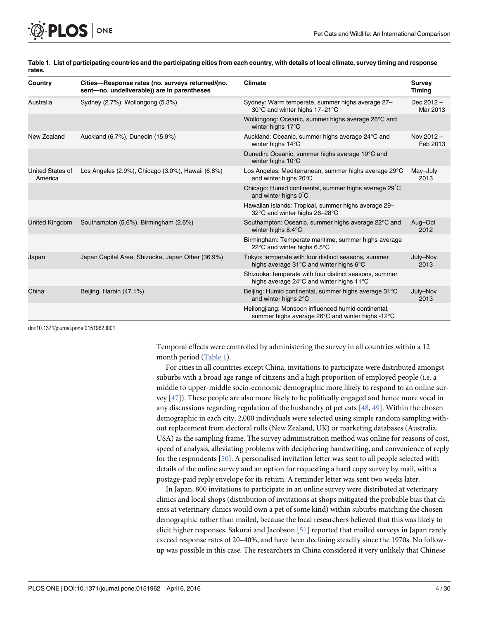| Country                            | Cities-Response rates (no. surveys returned/(no.<br>sent-no. undeliverable)) are in parentheses | <b>Climate</b>                                                                                          | <b>Survey</b><br>Timing  |
|------------------------------------|-------------------------------------------------------------------------------------------------|---------------------------------------------------------------------------------------------------------|--------------------------|
| Australia                          | Sydney (2.7%), Wollongong (5.3%)                                                                | Sydney: Warm temperate, summer highs average 27-<br>30°C and winter highs 17-21°C                       | Dec $2012 -$<br>Mar 2013 |
|                                    |                                                                                                 | Wollongong: Oceanic, summer highs average 26°C and<br>winter highs 17°C                                 |                          |
| New Zealand                        | Auckland (6.7%), Dunedin (15.9%)                                                                | Auckland: Oceanic, summer highs average 24°C and<br>winter highs 14°C                                   | Nov 2012-<br>Feb 2013    |
|                                    |                                                                                                 | Dunedin: Oceanic, summer highs average 19°C and<br>winter highs 10°C                                    |                          |
| <b>United States of</b><br>America | Los Angeles (2.9%), Chicago (3.0%), Hawaii (6.8%)                                               | Los Angeles: Mediterranean, summer highs average 29°C<br>and winter highs 20°C                          | May-July<br>2013         |
|                                    |                                                                                                 | Chicago: Humid continental, summer highs average 29 C<br>and winter highs 0 C                           |                          |
|                                    |                                                                                                 | Hawaiian islands: Tropical, summer highs average 29-<br>32°C and winter highs 26-28°C                   |                          |
| <b>United Kingdom</b>              | Southampton (5.6%), Birmingham (2.6%)                                                           | Southampton: Oceanic, summer highs average 22°C and<br>winter highs 8.4°C                               | Aug-Oct<br>2012          |
|                                    |                                                                                                 | Birmingham: Temperate maritime, summer highs average<br>22°C and winter highs 6.5°C                     |                          |
| Japan                              | Japan Capital Area, Shizuoka, Japan Other (36.9%)                                               | Tokyo: temperate with four distinct seasons, summer<br>highs average 31°C and winter highs 6°C          | July-Nov<br>2013         |
|                                    |                                                                                                 | Shizuoka: temperate with four distinct seasons, summer<br>highs average 24°C and winter highs 11°C      |                          |
| China                              | Beijing, Harbin (47.1%)                                                                         | Beijing: Humid continental, summer highs average 31°C<br>and winter highs 2°C                           | July-Nov<br>2013         |
|                                    |                                                                                                 | Heilongjiang: Monsoon influenced humid continental,<br>summer highs average 26°C and winter highs -12°C |                          |

[Table 1.](#page-2-0) List of participating countries and the participating cities from each country, with details of local climate, survey timing and response rates.

doi:10.1371/journal.pone.0151962.t001

ONE

<span id="page-3-0"></span>**PLOS** I

Temporal effects were controlled by administering the survey in all countries within a 12 month period (Table 1).

For cities in all countries except China, invitations to participate were distributed amongst suburbs with a broad age range of citizens and a high proportion of employed people (i.e. a middle to upper-middle socio-economic demographic more likely to respond to an online survey [[47\]](#page-26-0)). These people are also more likely to be politically engaged and hence more vocal in any discussions regarding regulation of the husbandry of pet cats  $[48, 49]$  $[48, 49]$  $[48, 49]$  $[48, 49]$  $[48, 49]$ . Within the chosen demographic in each city, 2,000 individuals were selected using simple random sampling without replacement from electoral rolls (New Zealand, UK) or marketing databases (Australia, USA) as the sampling frame. The survey administration method was online for reasons of cost, speed of analysis, alleviating problems with deciphering handwriting, and convenience of reply for the respondents [[50](#page-26-0)]. A personalised invitation letter was sent to all people selected with details of the online survey and an option for requesting a hard copy survey by mail, with a postage-paid reply envelope for its return. A reminder letter was sent two weeks later.

In Japan, 800 invitations to participate in an online survey were distributed at veterinary clinics and local shops (distribution of invitations at shops mitigated the probable bias that clients at veterinary clinics would own a pet of some kind) within suburbs matching the chosen demographic rather than mailed, because the local researchers believed that this was likely to elicit higher responses. Sakurai and Jacobson [[51](#page-26-0)] reported that mailed surveys in Japan rarely exceed response rates of 20–40%, and have been declining steadily since the 1970s. No followup was possible in this case. The researchers in China considered it very unlikely that Chinese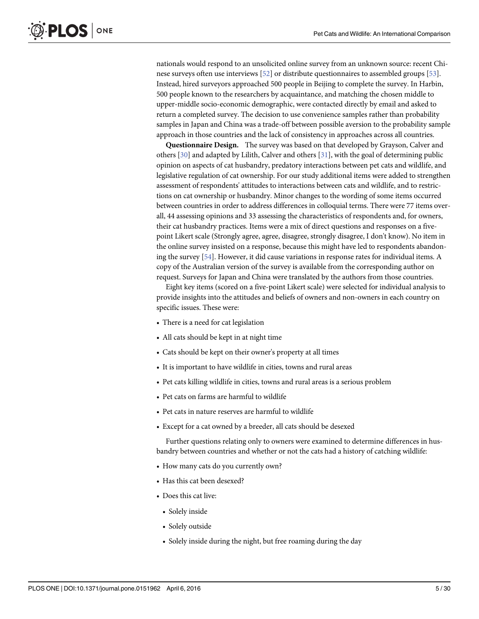<span id="page-4-0"></span>nationals would respond to an unsolicited online survey from an unknown source: recent Chinese surveys often use interviews [[52](#page-26-0)] or distribute questionnaires to assembled groups [[53](#page-26-0)]. Instead, hired surveyors approached 500 people in Beijing to complete the survey. In Harbin, 500 people known to the researchers by acquaintance, and matching the chosen middle to upper-middle socio-economic demographic, were contacted directly by email and asked to return a completed survey. The decision to use convenience samples rather than probability samples in Japan and China was a trade-off between possible aversion to the probability sample approach in those countries and the lack of consistency in approaches across all countries.

Questionnaire Design. The survey was based on that developed by Grayson, Calver and others  $[30]$  $[30]$  and adapted by Lilith, Calver and others  $[31]$  $[31]$ , with the goal of determining public opinion on aspects of cat husbandry, predatory interactions between pet cats and wildlife, and legislative regulation of cat ownership. For our study additional items were added to strengthen assessment of respondents' attitudes to interactions between cats and wildlife, and to restrictions on cat ownership or husbandry. Minor changes to the wording of some items occurred between countries in order to address differences in colloquial terms. There were 77 items overall, 44 assessing opinions and 33 assessing the characteristics of respondents and, for owners, their cat husbandry practices. Items were a mix of direct questions and responses on a fivepoint Likert scale (Strongly agree, agree, disagree, strongly disagree, I don't know). No item in the online survey insisted on a response, because this might have led to respondents abandoning the survey [\[54\]](#page-26-0). However, it did cause variations in response rates for individual items. A copy of the Australian version of the survey is available from the corresponding author on request. Surveys for Japan and China were translated by the authors from those countries.

Eight key items (scored on a five-point Likert scale) were selected for individual analysis to provide insights into the attitudes and beliefs of owners and non-owners in each country on specific issues. These were:

- There is a need for cat legislation
- All cats should be kept in at night time
- Cats should be kept on their owner's property at all times
- It is important to have wildlife in cities, towns and rural areas
- Pet cats killing wildlife in cities, towns and rural areas is a serious problem
- Pet cats on farms are harmful to wildlife
- Pet cats in nature reserves are harmful to wildlife
- Except for a cat owned by a breeder, all cats should be desexed

Further questions relating only to owners were examined to determine differences in husbandry between countries and whether or not the cats had a history of catching wildlife:

- How many cats do you currently own?
- Has this cat been desexed?
- Does this cat live:
	- Solely inside
	- Solely outside
	- Solely inside during the night, but free roaming during the day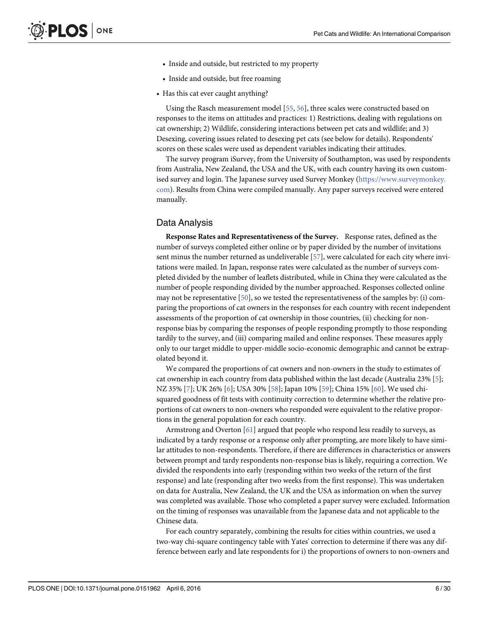- <span id="page-5-0"></span>• Inside and outside, but restricted to my property
- Inside and outside, but free roaming
- Has this cat ever caught anything?

Using the Rasch measurement model [\[55,](#page-26-0) [56\]](#page-26-0), three scales were constructed based on responses to the items on attitudes and practices: 1) Restrictions, dealing with regulations on cat ownership; 2) Wildlife, considering interactions between pet cats and wildlife; and 3) Desexing, covering issues related to desexing pet cats (see below for details). Respondents' scores on these scales were used as dependent variables indicating their attitudes.

The survey program iSurvey, from the University of Southampton, was used by respondents from Australia, New Zealand, the USA and the UK, with each country having its own customised survey and login. The Japanese survey used Survey Monkey [\(https://www.surveymonkey.](https://www.surveymonkey.com/) [com](https://www.surveymonkey.com/)). Results from China were compiled manually. Any paper surveys received were entered manually.

#### Data Analysis

Response Rates and Representativeness of the Survey. Response rates, defined as the number of surveys completed either online or by paper divided by the number of invitations sent minus the number returned as undeliverable [\[57\]](#page-26-0), were calculated for each city where invitations were mailed. In Japan, response rates were calculated as the number of surveys completed divided by the number of leaflets distributed, while in China they were calculated as the number of people responding divided by the number approached. Responses collected online may not be representative  $[50]$  $[50]$  $[50]$ , so we tested the representativeness of the samples by: (i) comparing the proportions of cat owners in the responses for each country with recent independent assessments of the proportion of cat ownership in those countries, (ii) checking for nonresponse bias by comparing the responses of people responding promptly to those responding tardily to the survey, and (iii) comparing mailed and online responses. These measures apply only to our target middle to upper-middle socio-economic demographic and cannot be extrapolated beyond it.

We compared the proportions of cat owners and non-owners in the study to estimates of cat ownership in each country from data published within the last decade (Australia 23% [\[5](#page-24-0)]; NZ 35% [\[7](#page-24-0)]; UK 26% [[6\]](#page-24-0); USA 30% [\[58\]](#page-26-0); Japan 10% [\[59\]](#page-26-0); China 15% [[60\]](#page-26-0). We used chisquared goodness of fit tests with continuity correction to determine whether the relative proportions of cat owners to non-owners who responded were equivalent to the relative proportions in the general population for each country.

Armstrong and Overton  $[61]$  argued that people who respond less readily to surveys, as indicated by a tardy response or a response only after prompting, are more likely to have similar attitudes to non-respondents. Therefore, if there are differences in characteristics or answers between prompt and tardy respondents non-response bias is likely, requiring a correction. We divided the respondents into early (responding within two weeks of the return of the first response) and late (responding after two weeks from the first response). This was undertaken on data for Australia, New Zealand, the UK and the USA as information on when the survey was completed was available. Those who completed a paper survey were excluded. Information on the timing of responses was unavailable from the Japanese data and not applicable to the Chinese data.

For each country separately, combining the results for cities within countries, we used a two-way chi-square contingency table with Yates' correction to determine if there was any difference between early and late respondents for i) the proportions of owners to non-owners and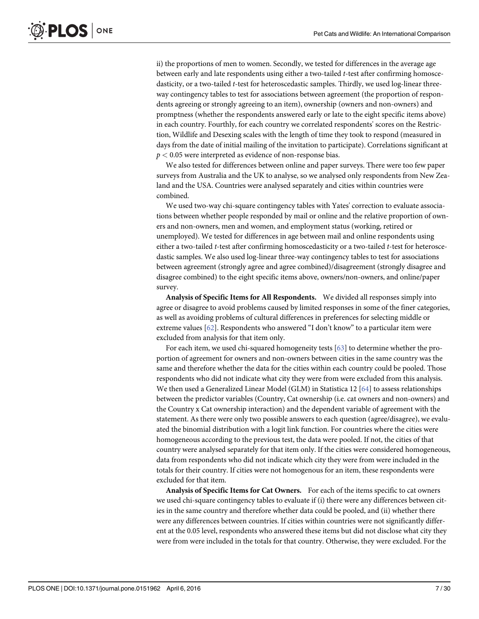<span id="page-6-0"></span>ii) the proportions of men to women. Secondly, we tested for differences in the average age between early and late respondents using either a two-tailed t-test after confirming homoscedasticity, or a two-tailed t-test for heteroscedastic samples. Thirdly, we used log-linear threeway contingency tables to test for associations between agreement (the proportion of respondents agreeing or strongly agreeing to an item), ownership (owners and non-owners) and promptness (whether the respondents answered early or late to the eight specific items above) in each country. Fourthly, for each country we correlated respondents' scores on the Restriction, Wildlife and Desexing scales with the length of time they took to respond (measured in days from the date of initial mailing of the invitation to participate). Correlations significant at  $p < 0.05$  were interpreted as evidence of non-response bias.

We also tested for differences between online and paper surveys. There were too few paper surveys from Australia and the UK to analyse, so we analysed only respondents from New Zealand and the USA. Countries were analysed separately and cities within countries were combined.

We used two-way chi-square contingency tables with Yates' correction to evaluate associations between whether people responded by mail or online and the relative proportion of owners and non-owners, men and women, and employment status (working, retired or unemployed). We tested for differences in age between mail and online respondents using either a two-tailed t-test after confirming homoscedasticity or a two-tailed t-test for heteroscedastic samples. We also used log-linear three-way contingency tables to test for associations between agreement (strongly agree and agree combined)/disagreement (strongly disagree and disagree combined) to the eight specific items above, owners/non-owners, and online/paper survey.

Analysis of Specific Items for All Respondents. We divided all responses simply into agree or disagree to avoid problems caused by limited responses in some of the finer categories, as well as avoiding problems of cultural differences in preferences for selecting middle or extreme values [\[62\]](#page-26-0). Respondents who answered "I don't know" to a particular item were excluded from analysis for that item only.

For each item, we used chi-squared homogeneity tests [[63](#page-26-0)] to determine whether the proportion of agreement for owners and non-owners between cities in the same country was the same and therefore whether the data for the cities within each country could be pooled. Those respondents who did not indicate what city they were from were excluded from this analysis. We then used a Generalized Linear Model (GLM) in Statistica 12 [\[64\]](#page-26-0) to assess relationships between the predictor variables (Country, Cat ownership (i.e. cat owners and non-owners) and the Country x Cat ownership interaction) and the dependent variable of agreement with the statement. As there were only two possible answers to each question (agree/disagree), we evaluated the binomial distribution with a logit link function. For countries where the cities were homogeneous according to the previous test, the data were pooled. If not, the cities of that country were analysed separately for that item only. If the cities were considered homogeneous, data from respondents who did not indicate which city they were from were included in the totals for their country. If cities were not homogenous for an item, these respondents were excluded for that item.

Analysis of Specific Items for Cat Owners. For each of the items specific to cat owners we used chi-square contingency tables to evaluate if (i) there were any differences between cities in the same country and therefore whether data could be pooled, and (ii) whether there were any differences between countries. If cities within countries were not significantly different at the 0.05 level, respondents who answered these items but did not disclose what city they were from were included in the totals for that country. Otherwise, they were excluded. For the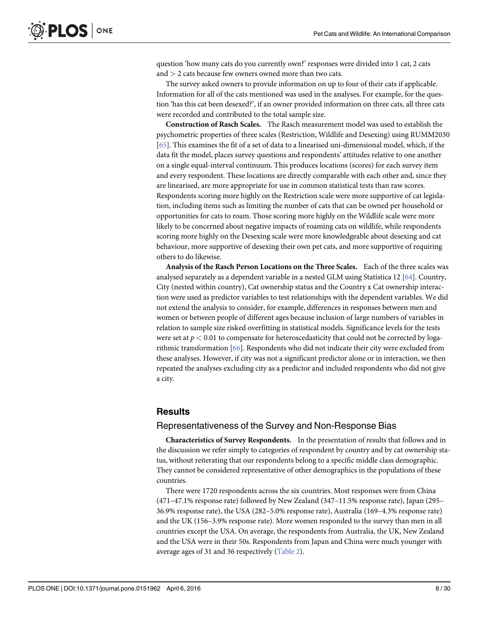<span id="page-7-0"></span>question 'how many cats do you currently own?' responses were divided into 1 cat, 2 cats and  $>$  2 cats because few owners owned more than two cats.

The survey asked owners to provide information on up to four of their cats if applicable. Information for all of the cats mentioned was used in the analyses. For example, for the question 'has this cat been desexed?', if an owner provided information on three cats, all three cats were recorded and contributed to the total sample size.

Construction of Rasch Scales. The Rasch measurement model was used to establish the psychometric properties of three scales (Restriction, Wildlife and Desexing) using RUMM2030 [\[65](#page-26-0)]. This examines the fit of a set of data to a linearised uni-dimensional model, which, if the data fit the model, places survey questions and respondents' attitudes relative to one another on a single equal-interval continuum. This produces locations (scores) for each survey item and every respondent. These locations are directly comparable with each other and, since they are linearised, are more appropriate for use in common statistical tests than raw scores. Respondents scoring more highly on the Restriction scale were more supportive of cat legislation, including items such as limiting the number of cats that can be owned per household or opportunities for cats to roam. Those scoring more highly on the Wildlife scale were more likely to be concerned about negative impacts of roaming cats on wildlife, while respondents scoring more highly on the Desexing scale were more knowledgeable about desexing and cat behaviour, more supportive of desexing their own pet cats, and more supportive of requiring others to do likewise.

Analysis of the Rasch Person Locations on the Three Scales. Each of the three scales was analysed separately as a dependent variable in a nested GLM using Statistica 12 [[64](#page-26-0)]. Country, City (nested within country), Cat ownership status and the Country x Cat ownership interaction were used as predictor variables to test relationships with the dependent variables. We did not extend the analysis to consider, for example, differences in responses between men and women or between people of different ages because inclusion of large numbers of variables in relation to sample size risked overfitting in statistical models. Significance levels for the tests were set at  $p < 0.01$  to compensate for heteroscedasticity that could not be corrected by logarithmic transformation [[66](#page-26-0)]. Respondents who did not indicate their city were excluded from these analyses. However, if city was not a significant predictor alone or in interaction, we then repeated the analyses excluding city as a predictor and included respondents who did not give a city.

#### **Results**

#### Representativeness of the Survey and Non-Response Bias

Characteristics of Survey Respondents. In the presentation of results that follows and in the discussion we refer simply to categories of respondent by country and by cat ownership status, without reiterating that our respondents belong to a specific middle class demographic. They cannot be considered representative of other demographics in the populations of these countries.

There were 1720 respondents across the six countries. Most responses were from China (471–47.1% response rate) followed by New Zealand (347–11.5% response rate), Japan (295– 36.9% response rate), the USA (282–5.0% response rate), Australia (169–4.3% response rate) and the UK (156–3.9% response rate). More women responded to the survey than men in all countries except the USA. On average, the respondents from Australia, the UK, New Zealand and the USA were in their 50s. Respondents from Japan and China were much younger with average ages of 31 and 36 respectively [\(Table 2](#page-8-0)).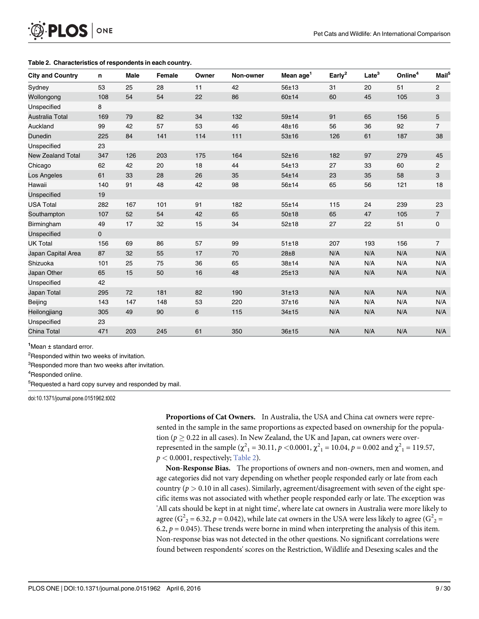# [Table 2.](#page-7-0) Characteristics of respondents in each country.

<span id="page-8-0"></span> $PLOS |$  ONE

| <b>City and Country</b>  | n                   | <b>Male</b> | <b>Female</b> | Owner | Non-owner | Mean age <sup>1</sup> | Early <sup>2</sup> | Late <sup>3</sup> | Online <sup>4</sup> | Mail <sup>5</sup> |
|--------------------------|---------------------|-------------|---------------|-------|-----------|-----------------------|--------------------|-------------------|---------------------|-------------------|
| Sydney                   | 53                  | 25          | 28            | 11    | 42        | 56±13                 | 31                 | 20                | 51                  | 2                 |
| Wollongong               | 108                 | 54          | 54            | 22    | 86        | 60±14                 | 60                 | 45                | 105                 | 3                 |
| Unspecified              | 8                   |             |               |       |           |                       |                    |                   |                     |                   |
| Australia Total          | 169                 | 79          | 82            | 34    | 132       | 59±14                 | 91                 | 65                | 156                 | 5                 |
| Auckland                 | 99                  | 42          | 57            | 53    | 46        | 48±16                 | 56                 | 36                | 92                  | $\overline{7}$    |
| Dunedin                  | 225                 | 84          | 141           | 114   | 111       | 53±16                 | 126                | 61                | 187                 | 38                |
| Unspecified              | 23                  |             |               |       |           |                       |                    |                   |                     |                   |
| <b>New Zealand Total</b> | 347                 | 126         | 203           | 175   | 164       | $52 + 16$             | 182                | 97                | 279                 | 45                |
| Chicago                  | 62                  | 42          | 20            | 18    | 44        | 54±13                 | 27                 | 33                | 60                  | 2                 |
| Los Angeles              | 61                  | 33          | 28            | 26    | 35        | 54±14                 | 23                 | 35                | 58                  | 3                 |
| Hawaii                   | 140                 | 91          | 48            | 42    | 98        | 56±14                 | 65                 | 56                | 121                 | 18                |
| Unspecified              | 19                  |             |               |       |           |                       |                    |                   |                     |                   |
| <b>USA Total</b>         | 282                 | 167         | 101           | 91    | 182       | 55±14                 | 115                | 24                | 239                 | 23                |
| Southampton              | 107                 | 52          | 54            | 42    | 65        | $50 + 18$             | 65                 | 47                | 105                 | $\overline{7}$    |
| Birmingham               | 49                  | 17          | 32            | 15    | 34        | $52 + 18$             | 27                 | 22                | 51                  | 0                 |
| Unspecified              | $\mathsf{O}\xspace$ |             |               |       |           |                       |                    |                   |                     |                   |
| <b>UK Total</b>          | 156                 | 69          | 86            | 57    | 99        | 51±18                 | 207                | 193               | 156                 | $\overline{7}$    |
| Japan Capital Area       | 87                  | 32          | 55            | 17    | 70        | 28±8                  | N/A                | N/A               | N/A                 | N/A               |
| Shizuoka                 | 101                 | 25          | 75            | 36    | 65        | 38±14                 | N/A                | N/A               | N/A                 | N/A               |
| Japan Other              | 65                  | 15          | 50            | 16    | 48        | 25±13                 | N/A                | N/A               | N/A                 | N/A               |
| Unspecified              | 42                  |             |               |       |           |                       |                    |                   |                     |                   |
| <b>Japan Total</b>       | 295                 | 72          | 181           | 82    | 190       | 31±13                 | N/A                | N/A               | N/A                 | N/A               |
| Beijing                  | 143                 | 147         | 148           | 53    | 220       | 37±16                 | N/A                | N/A               | N/A                 | N/A               |
| Heilongjiang             | 305                 | 49          | 90            | 6     | 115       | 34±15                 | N/A                | N/A               | N/A                 | N/A               |
| Unspecified              | 23                  |             |               |       |           |                       |                    |                   |                     |                   |
| China Total              | 471                 | 203         | 245           | 61    | 350       | 36±15                 | N/A                | N/A               | N/A                 | N/A               |

1 Mean ± standard error.

<sup>2</sup>Responded within two weeks of invitation.

<sup>3</sup>Responded more than two weeks after invitation.

4 Responded online.

<sup>5</sup>Requested a hard copy survey and responded by mail.

doi:10.1371/journal.pone.0151962.t002

Proportions of Cat Owners. In Australia, the USA and China cat owners were represented in the sample in the same proportions as expected based on ownership for the population ( $p \geq$  0.22 in all cases). In New Zealand, the UK and Japan, cat owners were overrepresented in the sample  $(\chi^2_1 = 30.11, p < 0.0001, \chi^2_1 = 10.04, p = 0.002$  and  $\chi^2_1 = 119.57, \chi^2_2 = 0.0001$  representively Table 3)  $p < 0.0001$ , respectively; Table 2).

Non-Response Bias. The proportions of owners and non-owners, men and women, and age categories did not vary depending on whether people responded early or late from each country ( $p > 0.10$  in all cases). Similarly, agreement/disagreement with seven of the eight specific items was not associated with whether people responded early or late. The exception was 'All cats should be kept in at night time', where late cat owners in Australia were more likely to agree ( $G^2$  = 6.32,  $p$  = 0.042), while late cat owners in the USA were less likely to agree ( $G^2$  = 6.2,  $p$  = 0.045). These trands were berne in mind when interpreting the analysis of this item 6.2,  $p = 0.045$ ). These trends were borne in mind when interpreting the analysis of this item. Non-response bias was not detected in the other questions. No significant correlations were found between respondents' scores on the Restriction, Wildlife and Desexing scales and the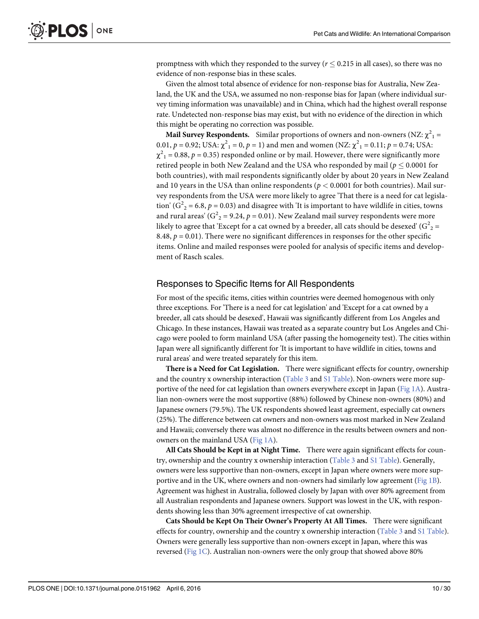<span id="page-9-0"></span>promptness with which they responded to the survey ( $r \le 0.215$  in all cases), so there was no evidence of non-response bias in these scales.

Given the almost total absence of evidence for non-response bias for Australia, New Zealand, the UK and the USA, we assumed no non-response bias for Japan (where individual survey timing information was unavailable) and in China, which had the highest overall response rate. Undetected non-response bias may exist, but with no evidence of the direction in which this might be operating no correction was possible.

Mail Survey Respondents. Similar proportions of owners and non-owners (NZ:  $\chi^2_{\phantom{2}1}$  = 0.01,  $p = 0.92$ ; USA:  $\chi^2_1 = 0$ ,  $p = 1$ ) and men and women (NZ:  $\chi^2_1 = 0.11$ ;  $p = 0.74$ ; USA:  $\chi^2_{1} = 0.88$ ,  $p = 0.35$ ) responded online or by mail. However, there were significantly more<br>retired people in both New Zeeland and the USA who responded by mail (p < 0.0001 for retired people in both New Zealand and the USA who responded by mail ( $p \leq 0.0001$  for both countries), with mail respondents significantly older by about 20 years in New Zealand and 10 years in the USA than online respondents ( $p < 0.0001$  for both countries). Mail survey respondents from the USA were more likely to agree 'That there is a need for cat legislation'  $(G<sup>2</sup><sub>2</sub> = 6.8, p = 0.03)$  and disagree with 'It is important to have wildlife in cities, towns and rural areas' ( $G<sup>2</sup>$  = 9.24,  $p$  = 0.01). New Zealand mail survey respondents were more<br>likely to agree that 'Except for a cet owned by a breeder, all cats should be deseared' ( $G<sup>2</sup>$ likely to agree that 'Except for a cat owned by a breeder, all cats should be desexed' (G $^2{}_{2}$  = 8.48,  $p = 0.01$ ). There were no significant differences in responses for the other specific items. Online and mailed responses were pooled for analysis of specific items and development of Rasch scales.

#### Responses to Specific Items for All Respondents

For most of the specific items, cities within countries were deemed homogenous with only three exceptions. For 'There is a need for cat legislation' and 'Except for a cat owned by a breeder, all cats should be desexed', Hawaii was significantly different from Los Angeles and Chicago. In these instances, Hawaii was treated as a separate country but Los Angeles and Chicago were pooled to form mainland USA (after passing the homogeneity test). The cities within Japan were all significantly different for 'It is important to have wildlife in cities, towns and rural areas' and were treated separately for this item.

There is a Need for Cat Legislation. There were significant effects for country, ownership and the country x ownership interaction [\(Table 3](#page-10-0) and [S1 Table\)](#page-23-0). Non-owners were more supportive of the need for cat legislation than owners everywhere except in Japan ( $Fig 1A$ ). Australian non-owners were the most supportive (88%) followed by Chinese non-owners (80%) and Japanese owners (79.5%). The UK respondents showed least agreement, especially cat owners (25%). The difference between cat owners and non-owners was most marked in New Zealand and Hawaii; conversely there was almost no difference in the results between owners and nonowners on the mainland USA ([Fig 1A](#page-12-0)).

All Cats Should be Kept in at Night Time. There were again significant effects for coun-try, ownership and the country x ownership interaction ([Table 3](#page-10-0) and [S1 Table](#page-23-0)). Generally, owners were less supportive than non-owners, except in Japan where owners were more supportive and in the UK, where owners and non-owners had similarly low agreement [\(Fig 1B\)](#page-12-0). Agreement was highest in Australia, followed closely by Japan with over 80% agreement from all Australian respondents and Japanese owners. Support was lowest in the UK, with respondents showing less than 30% agreement irrespective of cat ownership.

Cats Should be Kept On Their Owner's Property At All Times. There were significant effects for country, ownership and the country x ownership interaction ([Table 3](#page-10-0) and [S1 Table](#page-23-0)). Owners were generally less supportive than non-owners except in Japan, where this was reversed ([Fig 1C\)](#page-12-0). Australian non-owners were the only group that showed above 80%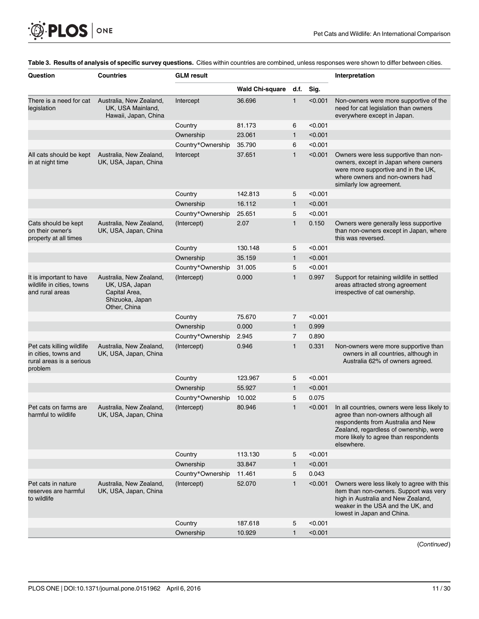<span id="page-10-0"></span>

| <b>Wald Chi-square</b><br>d.f.<br>Sig.<br>There is a need for cat<br>Australia, New Zealand,<br>Intercept<br>36.696<br>$\mathbf{1}$<br>< 0.001<br>Non-owners were more supportive of the<br>legislation<br>UK, USA Mainland,<br>need for cat legislation than owners<br>Hawaii, Japan, China<br>everywhere except in Japan.<br>< 0.001<br>Country<br>81.173<br>6<br>Ownership<br>23.061<br>$\mathbf{1}$<br>< 0.001<br>Country*Ownership<br>35.790<br>6<br>< 0.001<br>$\mathbf{1}$<br>Owners were less supportive than non-<br>All cats should be kept<br>Australia, New Zealand,<br>Intercept<br>37.651<br>< 0.001<br>owners, except in Japan where owners<br>in at night time<br>UK, USA, Japan, China<br>were more supportive and in the UK,<br>where owners and non-owners had<br>similarly low agreement.<br>Country<br>142.813<br>< 0.001<br>5<br>Ownership<br>16.112<br>$\mathbf{1}$<br>< 0.001<br>< 0.001<br>Country*Ownership<br>25.651<br>5<br>2.07<br>$\mathbf{1}$<br>0.150<br>Cats should be kept<br>Australia, New Zealand,<br>(Intercept)<br>Owners were generally less supportive<br>on their owner's<br>UK, USA, Japan, China<br>than non-owners except in Japan, where<br>this was reversed.<br>property at all times<br>< 0.001<br>130.148<br>5<br>Country<br>Ownership<br>35.159<br>< 0.001<br>$\mathbf{1}$<br>Country*Ownership<br>5<br>< 0.001<br>31.005<br>0.000<br>$\mathbf{1}$<br>It is important to have<br>Australia, New Zealand,<br>(Intercept)<br>0.997<br>Support for retaining wildlife in settled<br>wildlife in cities, towns<br>areas attracted strong agreement<br>UK, USA, Japan<br>and rural areas<br>Capital Area,<br>irrespective of cat ownership.<br>Shizuoka, Japan<br>Other, China<br>Country<br>75.670<br>< 0.001<br>7<br>0.000<br>0.999<br>Ownership<br>$\mathbf{1}$<br>Country*Ownership<br>7<br>0.890<br>2.945<br>Australia, New Zealand,<br>(Intercept)<br>0.946<br>$\mathbf{1}$<br>0.331<br>Pet cats killing wildlife<br>Non-owners were more supportive than<br>in cities, towns and<br>UK, USA, Japan, China<br>owners in all countries, although in<br>rural areas is a serious<br>Australia 62% of owners agreed.<br>problem<br>Country<br>< 0.001<br>123.967<br>5<br>Ownership<br>55.927<br>$\mathbf{1}$<br>< 0.001<br>Country*Ownership<br>10.002<br>5<br>0.075<br>(Intercept)<br>80.946<br>$\mathbf{1}$<br>< 0.001<br>In all countries, owners were less likely to<br>Pet cats on farms are<br>Australia, New Zealand,<br>UK, USA, Japan, China<br>agree than non-owners although all<br>harmful to wildlife<br>respondents from Australia and New<br>Zealand, regardless of ownership, were<br>more likely to agree than respondents<br>elsewhere.<br>< 0.001<br>Country<br>113.130<br>5<br>Ownership<br>33.847<br>< 0.001<br>$\mathbf{1}$<br>Country*Ownership<br>5<br>0.043<br>11.461<br>52.070<br>$\mathbf{1}$<br>< 0.001<br>Owners were less likely to agree with this<br>Pet cats in nature<br>Australia, New Zealand,<br>(Intercept)<br>UK, USA, Japan, China<br>item than non-owners. Support was very<br>reserves are harmful<br>to wildlife<br>high in Australia and New Zealand,<br>weaker in the USA and the UK, and<br>lowest in Japan and China.<br>< 0.001<br>Country<br>187.618<br>5<br>Ownership<br>10.929<br>< 0.001<br>$\mathbf{1}$ | Question | <b>Countries</b> | <b>GLM</b> result |  | Interpretation |  |  |
|---------------------------------------------------------------------------------------------------------------------------------------------------------------------------------------------------------------------------------------------------------------------------------------------------------------------------------------------------------------------------------------------------------------------------------------------------------------------------------------------------------------------------------------------------------------------------------------------------------------------------------------------------------------------------------------------------------------------------------------------------------------------------------------------------------------------------------------------------------------------------------------------------------------------------------------------------------------------------------------------------------------------------------------------------------------------------------------------------------------------------------------------------------------------------------------------------------------------------------------------------------------------------------------------------------------------------------------------------------------------------------------------------------------------------------------------------------------------------------------------------------------------------------------------------------------------------------------------------------------------------------------------------------------------------------------------------------------------------------------------------------------------------------------------------------------------------------------------------------------------------------------------------------------------------------------------------------------------------------------------------------------------------------------------------------------------------------------------------------------------------------------------------------------------------------------------------------------------------------------------------------------------------------------------------------------------------------------------------------------------------------------------------------------------------------------------------------------------------------------------------------------------------------------------------------------------------------------------------------------------------------------------------------------------------------------------------------------------------------------------------------------------------------------------------------------------------------------------------------------------------------------------------------------------------------------------------------------------------------------------------------------------------------------------------------------------------------------------------------------------------------------------------------------------------------------------------------------------------------------------------------------------------------------------------------------|----------|------------------|-------------------|--|----------------|--|--|
|                                                                                                                                                                                                                                                                                                                                                                                                                                                                                                                                                                                                                                                                                                                                                                                                                                                                                                                                                                                                                                                                                                                                                                                                                                                                                                                                                                                                                                                                                                                                                                                                                                                                                                                                                                                                                                                                                                                                                                                                                                                                                                                                                                                                                                                                                                                                                                                                                                                                                                                                                                                                                                                                                                                                                                                                                                                                                                                                                                                                                                                                                                                                                                                                                                                                                                               |          |                  |                   |  |                |  |  |
|                                                                                                                                                                                                                                                                                                                                                                                                                                                                                                                                                                                                                                                                                                                                                                                                                                                                                                                                                                                                                                                                                                                                                                                                                                                                                                                                                                                                                                                                                                                                                                                                                                                                                                                                                                                                                                                                                                                                                                                                                                                                                                                                                                                                                                                                                                                                                                                                                                                                                                                                                                                                                                                                                                                                                                                                                                                                                                                                                                                                                                                                                                                                                                                                                                                                                                               |          |                  |                   |  |                |  |  |
|                                                                                                                                                                                                                                                                                                                                                                                                                                                                                                                                                                                                                                                                                                                                                                                                                                                                                                                                                                                                                                                                                                                                                                                                                                                                                                                                                                                                                                                                                                                                                                                                                                                                                                                                                                                                                                                                                                                                                                                                                                                                                                                                                                                                                                                                                                                                                                                                                                                                                                                                                                                                                                                                                                                                                                                                                                                                                                                                                                                                                                                                                                                                                                                                                                                                                                               |          |                  |                   |  |                |  |  |
|                                                                                                                                                                                                                                                                                                                                                                                                                                                                                                                                                                                                                                                                                                                                                                                                                                                                                                                                                                                                                                                                                                                                                                                                                                                                                                                                                                                                                                                                                                                                                                                                                                                                                                                                                                                                                                                                                                                                                                                                                                                                                                                                                                                                                                                                                                                                                                                                                                                                                                                                                                                                                                                                                                                                                                                                                                                                                                                                                                                                                                                                                                                                                                                                                                                                                                               |          |                  |                   |  |                |  |  |
|                                                                                                                                                                                                                                                                                                                                                                                                                                                                                                                                                                                                                                                                                                                                                                                                                                                                                                                                                                                                                                                                                                                                                                                                                                                                                                                                                                                                                                                                                                                                                                                                                                                                                                                                                                                                                                                                                                                                                                                                                                                                                                                                                                                                                                                                                                                                                                                                                                                                                                                                                                                                                                                                                                                                                                                                                                                                                                                                                                                                                                                                                                                                                                                                                                                                                                               |          |                  |                   |  |                |  |  |
|                                                                                                                                                                                                                                                                                                                                                                                                                                                                                                                                                                                                                                                                                                                                                                                                                                                                                                                                                                                                                                                                                                                                                                                                                                                                                                                                                                                                                                                                                                                                                                                                                                                                                                                                                                                                                                                                                                                                                                                                                                                                                                                                                                                                                                                                                                                                                                                                                                                                                                                                                                                                                                                                                                                                                                                                                                                                                                                                                                                                                                                                                                                                                                                                                                                                                                               |          |                  |                   |  |                |  |  |
|                                                                                                                                                                                                                                                                                                                                                                                                                                                                                                                                                                                                                                                                                                                                                                                                                                                                                                                                                                                                                                                                                                                                                                                                                                                                                                                                                                                                                                                                                                                                                                                                                                                                                                                                                                                                                                                                                                                                                                                                                                                                                                                                                                                                                                                                                                                                                                                                                                                                                                                                                                                                                                                                                                                                                                                                                                                                                                                                                                                                                                                                                                                                                                                                                                                                                                               |          |                  |                   |  |                |  |  |
|                                                                                                                                                                                                                                                                                                                                                                                                                                                                                                                                                                                                                                                                                                                                                                                                                                                                                                                                                                                                                                                                                                                                                                                                                                                                                                                                                                                                                                                                                                                                                                                                                                                                                                                                                                                                                                                                                                                                                                                                                                                                                                                                                                                                                                                                                                                                                                                                                                                                                                                                                                                                                                                                                                                                                                                                                                                                                                                                                                                                                                                                                                                                                                                                                                                                                                               |          |                  |                   |  |                |  |  |
|                                                                                                                                                                                                                                                                                                                                                                                                                                                                                                                                                                                                                                                                                                                                                                                                                                                                                                                                                                                                                                                                                                                                                                                                                                                                                                                                                                                                                                                                                                                                                                                                                                                                                                                                                                                                                                                                                                                                                                                                                                                                                                                                                                                                                                                                                                                                                                                                                                                                                                                                                                                                                                                                                                                                                                                                                                                                                                                                                                                                                                                                                                                                                                                                                                                                                                               |          |                  |                   |  |                |  |  |
|                                                                                                                                                                                                                                                                                                                                                                                                                                                                                                                                                                                                                                                                                                                                                                                                                                                                                                                                                                                                                                                                                                                                                                                                                                                                                                                                                                                                                                                                                                                                                                                                                                                                                                                                                                                                                                                                                                                                                                                                                                                                                                                                                                                                                                                                                                                                                                                                                                                                                                                                                                                                                                                                                                                                                                                                                                                                                                                                                                                                                                                                                                                                                                                                                                                                                                               |          |                  |                   |  |                |  |  |
|                                                                                                                                                                                                                                                                                                                                                                                                                                                                                                                                                                                                                                                                                                                                                                                                                                                                                                                                                                                                                                                                                                                                                                                                                                                                                                                                                                                                                                                                                                                                                                                                                                                                                                                                                                                                                                                                                                                                                                                                                                                                                                                                                                                                                                                                                                                                                                                                                                                                                                                                                                                                                                                                                                                                                                                                                                                                                                                                                                                                                                                                                                                                                                                                                                                                                                               |          |                  |                   |  |                |  |  |
|                                                                                                                                                                                                                                                                                                                                                                                                                                                                                                                                                                                                                                                                                                                                                                                                                                                                                                                                                                                                                                                                                                                                                                                                                                                                                                                                                                                                                                                                                                                                                                                                                                                                                                                                                                                                                                                                                                                                                                                                                                                                                                                                                                                                                                                                                                                                                                                                                                                                                                                                                                                                                                                                                                                                                                                                                                                                                                                                                                                                                                                                                                                                                                                                                                                                                                               |          |                  |                   |  |                |  |  |
|                                                                                                                                                                                                                                                                                                                                                                                                                                                                                                                                                                                                                                                                                                                                                                                                                                                                                                                                                                                                                                                                                                                                                                                                                                                                                                                                                                                                                                                                                                                                                                                                                                                                                                                                                                                                                                                                                                                                                                                                                                                                                                                                                                                                                                                                                                                                                                                                                                                                                                                                                                                                                                                                                                                                                                                                                                                                                                                                                                                                                                                                                                                                                                                                                                                                                                               |          |                  |                   |  |                |  |  |
|                                                                                                                                                                                                                                                                                                                                                                                                                                                                                                                                                                                                                                                                                                                                                                                                                                                                                                                                                                                                                                                                                                                                                                                                                                                                                                                                                                                                                                                                                                                                                                                                                                                                                                                                                                                                                                                                                                                                                                                                                                                                                                                                                                                                                                                                                                                                                                                                                                                                                                                                                                                                                                                                                                                                                                                                                                                                                                                                                                                                                                                                                                                                                                                                                                                                                                               |          |                  |                   |  |                |  |  |
|                                                                                                                                                                                                                                                                                                                                                                                                                                                                                                                                                                                                                                                                                                                                                                                                                                                                                                                                                                                                                                                                                                                                                                                                                                                                                                                                                                                                                                                                                                                                                                                                                                                                                                                                                                                                                                                                                                                                                                                                                                                                                                                                                                                                                                                                                                                                                                                                                                                                                                                                                                                                                                                                                                                                                                                                                                                                                                                                                                                                                                                                                                                                                                                                                                                                                                               |          |                  |                   |  |                |  |  |
|                                                                                                                                                                                                                                                                                                                                                                                                                                                                                                                                                                                                                                                                                                                                                                                                                                                                                                                                                                                                                                                                                                                                                                                                                                                                                                                                                                                                                                                                                                                                                                                                                                                                                                                                                                                                                                                                                                                                                                                                                                                                                                                                                                                                                                                                                                                                                                                                                                                                                                                                                                                                                                                                                                                                                                                                                                                                                                                                                                                                                                                                                                                                                                                                                                                                                                               |          |                  |                   |  |                |  |  |
|                                                                                                                                                                                                                                                                                                                                                                                                                                                                                                                                                                                                                                                                                                                                                                                                                                                                                                                                                                                                                                                                                                                                                                                                                                                                                                                                                                                                                                                                                                                                                                                                                                                                                                                                                                                                                                                                                                                                                                                                                                                                                                                                                                                                                                                                                                                                                                                                                                                                                                                                                                                                                                                                                                                                                                                                                                                                                                                                                                                                                                                                                                                                                                                                                                                                                                               |          |                  |                   |  |                |  |  |
|                                                                                                                                                                                                                                                                                                                                                                                                                                                                                                                                                                                                                                                                                                                                                                                                                                                                                                                                                                                                                                                                                                                                                                                                                                                                                                                                                                                                                                                                                                                                                                                                                                                                                                                                                                                                                                                                                                                                                                                                                                                                                                                                                                                                                                                                                                                                                                                                                                                                                                                                                                                                                                                                                                                                                                                                                                                                                                                                                                                                                                                                                                                                                                                                                                                                                                               |          |                  |                   |  |                |  |  |
|                                                                                                                                                                                                                                                                                                                                                                                                                                                                                                                                                                                                                                                                                                                                                                                                                                                                                                                                                                                                                                                                                                                                                                                                                                                                                                                                                                                                                                                                                                                                                                                                                                                                                                                                                                                                                                                                                                                                                                                                                                                                                                                                                                                                                                                                                                                                                                                                                                                                                                                                                                                                                                                                                                                                                                                                                                                                                                                                                                                                                                                                                                                                                                                                                                                                                                               |          |                  |                   |  |                |  |  |
|                                                                                                                                                                                                                                                                                                                                                                                                                                                                                                                                                                                                                                                                                                                                                                                                                                                                                                                                                                                                                                                                                                                                                                                                                                                                                                                                                                                                                                                                                                                                                                                                                                                                                                                                                                                                                                                                                                                                                                                                                                                                                                                                                                                                                                                                                                                                                                                                                                                                                                                                                                                                                                                                                                                                                                                                                                                                                                                                                                                                                                                                                                                                                                                                                                                                                                               |          |                  |                   |  |                |  |  |
|                                                                                                                                                                                                                                                                                                                                                                                                                                                                                                                                                                                                                                                                                                                                                                                                                                                                                                                                                                                                                                                                                                                                                                                                                                                                                                                                                                                                                                                                                                                                                                                                                                                                                                                                                                                                                                                                                                                                                                                                                                                                                                                                                                                                                                                                                                                                                                                                                                                                                                                                                                                                                                                                                                                                                                                                                                                                                                                                                                                                                                                                                                                                                                                                                                                                                                               |          |                  |                   |  |                |  |  |
|                                                                                                                                                                                                                                                                                                                                                                                                                                                                                                                                                                                                                                                                                                                                                                                                                                                                                                                                                                                                                                                                                                                                                                                                                                                                                                                                                                                                                                                                                                                                                                                                                                                                                                                                                                                                                                                                                                                                                                                                                                                                                                                                                                                                                                                                                                                                                                                                                                                                                                                                                                                                                                                                                                                                                                                                                                                                                                                                                                                                                                                                                                                                                                                                                                                                                                               |          |                  |                   |  |                |  |  |
|                                                                                                                                                                                                                                                                                                                                                                                                                                                                                                                                                                                                                                                                                                                                                                                                                                                                                                                                                                                                                                                                                                                                                                                                                                                                                                                                                                                                                                                                                                                                                                                                                                                                                                                                                                                                                                                                                                                                                                                                                                                                                                                                                                                                                                                                                                                                                                                                                                                                                                                                                                                                                                                                                                                                                                                                                                                                                                                                                                                                                                                                                                                                                                                                                                                                                                               |          |                  |                   |  |                |  |  |
|                                                                                                                                                                                                                                                                                                                                                                                                                                                                                                                                                                                                                                                                                                                                                                                                                                                                                                                                                                                                                                                                                                                                                                                                                                                                                                                                                                                                                                                                                                                                                                                                                                                                                                                                                                                                                                                                                                                                                                                                                                                                                                                                                                                                                                                                                                                                                                                                                                                                                                                                                                                                                                                                                                                                                                                                                                                                                                                                                                                                                                                                                                                                                                                                                                                                                                               |          |                  |                   |  |                |  |  |
|                                                                                                                                                                                                                                                                                                                                                                                                                                                                                                                                                                                                                                                                                                                                                                                                                                                                                                                                                                                                                                                                                                                                                                                                                                                                                                                                                                                                                                                                                                                                                                                                                                                                                                                                                                                                                                                                                                                                                                                                                                                                                                                                                                                                                                                                                                                                                                                                                                                                                                                                                                                                                                                                                                                                                                                                                                                                                                                                                                                                                                                                                                                                                                                                                                                                                                               |          |                  |                   |  |                |  |  |
|                                                                                                                                                                                                                                                                                                                                                                                                                                                                                                                                                                                                                                                                                                                                                                                                                                                                                                                                                                                                                                                                                                                                                                                                                                                                                                                                                                                                                                                                                                                                                                                                                                                                                                                                                                                                                                                                                                                                                                                                                                                                                                                                                                                                                                                                                                                                                                                                                                                                                                                                                                                                                                                                                                                                                                                                                                                                                                                                                                                                                                                                                                                                                                                                                                                                                                               |          |                  |                   |  |                |  |  |
|                                                                                                                                                                                                                                                                                                                                                                                                                                                                                                                                                                                                                                                                                                                                                                                                                                                                                                                                                                                                                                                                                                                                                                                                                                                                                                                                                                                                                                                                                                                                                                                                                                                                                                                                                                                                                                                                                                                                                                                                                                                                                                                                                                                                                                                                                                                                                                                                                                                                                                                                                                                                                                                                                                                                                                                                                                                                                                                                                                                                                                                                                                                                                                                                                                                                                                               |          |                  |                   |  |                |  |  |
|                                                                                                                                                                                                                                                                                                                                                                                                                                                                                                                                                                                                                                                                                                                                                                                                                                                                                                                                                                                                                                                                                                                                                                                                                                                                                                                                                                                                                                                                                                                                                                                                                                                                                                                                                                                                                                                                                                                                                                                                                                                                                                                                                                                                                                                                                                                                                                                                                                                                                                                                                                                                                                                                                                                                                                                                                                                                                                                                                                                                                                                                                                                                                                                                                                                                                                               |          |                  |                   |  |                |  |  |

[Table 3.](#page-9-0) Results of analysis of specific survey questions. Cities within countries are combined, unless responses were shown to differ between cities.

(Continued)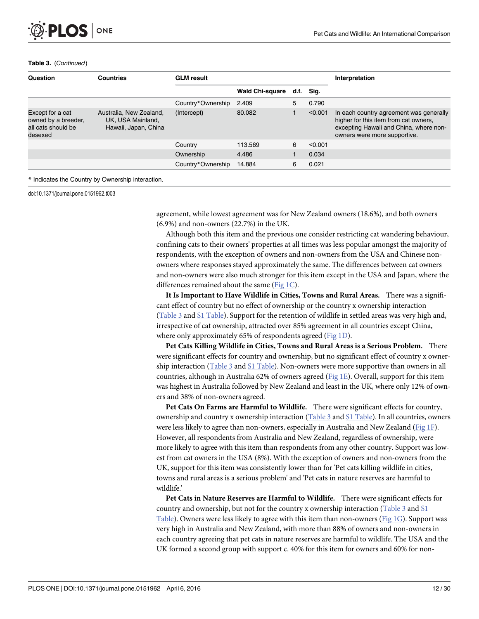#### Table 3. (Continued)

**PLOS I** 

ONE

| Question                                                                 | <b>Countries</b>                                                     | <b>GLM</b> result |                        |   |           | Interpretation                                                                                                                                             |
|--------------------------------------------------------------------------|----------------------------------------------------------------------|-------------------|------------------------|---|-----------|------------------------------------------------------------------------------------------------------------------------------------------------------------|
|                                                                          |                                                                      |                   | <b>Wald Chi-square</b> |   | d.f. Sig. |                                                                                                                                                            |
|                                                                          |                                                                      | Country*Ownership | 2.409                  | 5 | 0.790     |                                                                                                                                                            |
| Except for a cat<br>owned by a breeder,<br>all cats should be<br>desexed | Australia, New Zealand,<br>UK, USA Mainland,<br>Hawaii, Japan, China | (Intercept)       | 80.082                 |   | < 0.001   | In each country agreement was generally<br>higher for this item from cat owners.<br>excepting Hawaii and China, where non-<br>owners were more supportive. |
|                                                                          |                                                                      | Country           | 113.569                | 6 | < 0.001   |                                                                                                                                                            |
|                                                                          |                                                                      | Ownership         | 4.486                  |   | 0.034     |                                                                                                                                                            |
|                                                                          |                                                                      | Country*Ownership | 14.884                 | 6 | 0.021     |                                                                                                                                                            |
|                                                                          |                                                                      |                   |                        |   |           |                                                                                                                                                            |

\* Indicates the Country by Ownership interaction.

doi:10.1371/journal.pone.0151962.t003

agreement, while lowest agreement was for New Zealand owners (18.6%), and both owners (6.9%) and non-owners (22.7%) in the UK.

Although both this item and the previous one consider restricting cat wandering behaviour, confining cats to their owners' properties at all times was less popular amongst the majority of respondents, with the exception of owners and non-owners from the USA and Chinese nonowners where responses stayed approximately the same. The differences between cat owners and non-owners were also much stronger for this item except in the USA and Japan, where the differences remained about the same ( $Fig 1C$ ).

It Is Important to Have Wildlife in Cities, Towns and Rural Areas. There was a significant effect of country but no effect of ownership or the country x ownership interaction [\(Table 3](#page-10-0) and [S1 Table\)](#page-23-0). Support for the retention of wildlife in settled areas was very high and, irrespective of cat ownership, attracted over 85% agreement in all countries except China, where only approximately 65% of respondents agreed ([Fig 1D](#page-12-0)).

Pet Cats Killing Wildlife in Cities, Towns and Rural Areas is a Serious Problem. There were significant effects for country and ownership, but no significant effect of country x ownership interaction [\(Table 3](#page-10-0) and [S1 Table\)](#page-23-0). Non-owners were more supportive than owners in all countries, although in Australia 62% of owners agreed ([Fig 1E\)](#page-12-0). Overall, support for this item was highest in Australia followed by New Zealand and least in the UK, where only 12% of owners and 38% of non-owners agreed.

Pet Cats On Farms are Harmful to Wildlife. There were significant effects for country, ownership and country x ownership interaction ([Table 3](#page-10-0) and [S1 Table](#page-23-0)). In all countries, owners were less likely to agree than non-owners, especially in Australia and New Zealand [\(Fig 1F\)](#page-12-0). However, all respondents from Australia and New Zealand, regardless of ownership, were more likely to agree with this item than respondents from any other country. Support was lowest from cat owners in the USA (8%). With the exception of owners and non-owners from the UK, support for this item was consistently lower than for 'Pet cats killing wildlife in cities, towns and rural areas is a serious problem' and 'Pet cats in nature reserves are harmful to wildlife.'

Pet Cats in Nature Reserves are Harmful to Wildlife. There were significant effects for country and ownership, but not for the country x ownership interaction ([Table 3](#page-10-0) and [S1](#page-23-0) [Table](#page-23-0)). Owners were less likely to agree with this item than non-owners [\(Fig 1G\)](#page-12-0). Support was very high in Australia and New Zealand, with more than 88% of owners and non-owners in each country agreeing that pet cats in nature reserves are harmful to wildlife. The USA and the UK formed a second group with support c. 40% for this item for owners and 60% for non-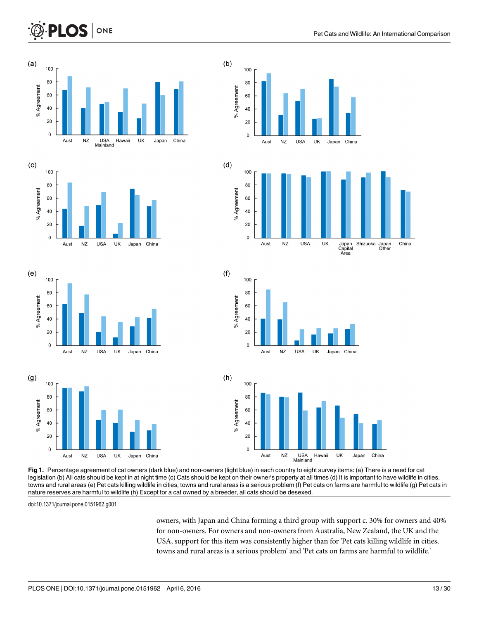<span id="page-12-0"></span>





[Fig 1.](#page-9-0) Percentage agreement of cat owners (dark blue) and non-owners (light blue) in each country to eight survey items: (a) There is a need for cat legislation (b) All cats should be kept in at night time (c) Cats should be kept on their owner's property at all times (d) It is important to have wildlife in cities, towns and rural areas (e) Pet cats killing wildlife in cities, towns and rural areas is a serious problem (f) Pet cats on farms are harmful to wildlife (g) Pet cats in nature reserves are harmful to wildlife (h) Except for a cat owned by a breeder, all cats should be desexed.

doi:10.1371/journal.pone.0151962.g001

Aust

**NZ** 

**USA** 

UK

Japan

China

 $\mathbf 0$ 

owners, with Japan and China forming a third group with support c. 30% for owners and 40% for non-owners. For owners and non-owners from Australia, New Zealand, the UK and the USA, support for this item was consistently higher than for 'Pet cats killing wildlife in cities, towns and rural areas is a serious problem' and 'Pet cats on farms are harmful to wildlife.'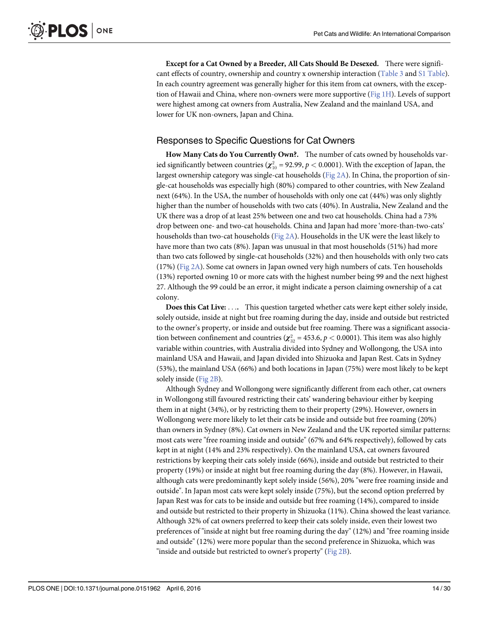<span id="page-13-0"></span>Except for a Cat Owned by a Breeder, All Cats Should Be Desexed. There were signifi-cant effects of country, ownership and country x ownership interaction ([Table 3](#page-10-0) and [S1 Table](#page-23-0)). In each country agreement was generally higher for this item from cat owners, with the exception of Hawaii and China, where non-owners were more supportive  $(Fig 1H)$  $(Fig 1H)$ . Levels of support were highest among cat owners from Australia, New Zealand and the mainland USA, and lower for UK non-owners, Japan and China.

#### Responses to Specific Questions for Cat Owners

How Many Cats do You Currently Own?. The number of cats owned by households varied significantly between countries  $(\chi^2_{10} = 92.99, p < 0.0001)$ . With the exception of Japan, the largest ownership category was single-cat households ( $Fig 2A$ ). In China, the proportion of single-cat households was especially high (80%) compared to other countries, with New Zealand next (64%). In the USA, the number of households with only one cat (44%) was only slightly higher than the number of households with two cats (40%). In Australia, New Zealand and the UK there was a drop of at least 25% between one and two cat households. China had a 73% drop between one- and two-cat households. China and Japan had more 'more-than-two-cats' households than two-cat households [\(Fig 2A\)](#page-14-0). Households in the UK were the least likely to have more than two cats (8%). Japan was unusual in that most households (51%) had more than two cats followed by single-cat households (32%) and then households with only two cats  $(17%)$  ([Fig 2A\)](#page-14-0). Some cat owners in Japan owned very high numbers of cats. Ten households (13%) reported owning 10 or more cats with the highest number being 99 and the next highest 27. Although the 99 could be an error, it might indicate a person claiming ownership of a cat colony.

Does this Cat Live: .... This question targeted whether cats were kept either solely inside, solely outside, inside at night but free roaming during the day, inside and outside but restricted to the owner's property, or inside and outside but free roaming. There was a significant association between confinement and countries  $(\chi^2_{32} = 453.6, p < 0.0001)$ . This item was also highly variable within countries, with Australia divided into Sydney and Wollongong, the USA into mainland USA and Hawaii, and Japan divided into Shizuoka and Japan Rest. Cats in Sydney (53%), the mainland USA (66%) and both locations in Japan (75%) were most likely to be kept solely inside ([Fig 2B](#page-14-0)).

Although Sydney and Wollongong were significantly different from each other, cat owners in Wollongong still favoured restricting their cats' wandering behaviour either by keeping them in at night (34%), or by restricting them to their property (29%). However, owners in Wollongong were more likely to let their cats be inside and outside but free roaming (20%) than owners in Sydney (8%). Cat owners in New Zealand and the UK reported similar patterns: most cats were "free roaming inside and outside" (67% and 64% respectively), followed by cats kept in at night (14% and 23% respectively). On the mainland USA, cat owners favoured restrictions by keeping their cats solely inside (66%), inside and outside but restricted to their property (19%) or inside at night but free roaming during the day (8%). However, in Hawaii, although cats were predominantly kept solely inside (56%), 20% "were free roaming inside and outside". In Japan most cats were kept solely inside (75%), but the second option preferred by Japan Rest was for cats to be inside and outside but free roaming (14%), compared to inside and outside but restricted to their property in Shizuoka (11%). China showed the least variance. Although 32% of cat owners preferred to keep their cats solely inside, even their lowest two preferences of "inside at night but free roaming during the day" (12%) and "free roaming inside and outside" (12%) were more popular than the second preference in Shizuoka, which was "inside and outside but restricted to owner's property" [\(Fig 2B\)](#page-14-0).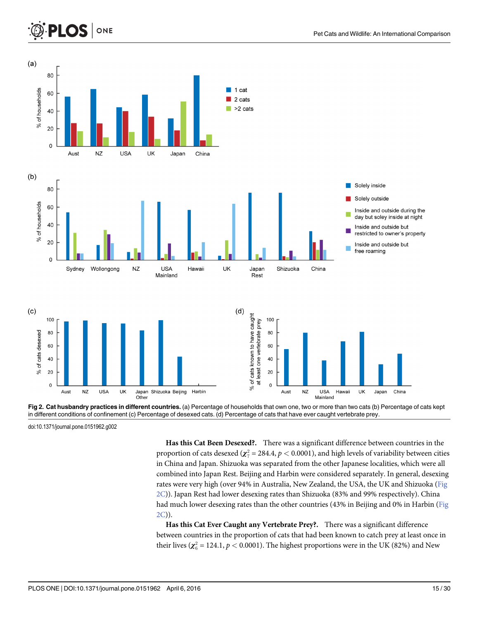<span id="page-14-0"></span>



[Fig 2. C](#page-13-0)at husbandry practices in different countries. (a) Percentage of households that own one, two or more than two cats (b) Percentage of cats kept in different conditions of confinement (c) Percentage of desexed cats. (d) Percentage of cats that have ever caught vertebrate prey.

doi:10.1371/journal.pone.0151962.g002

Has this Cat Been Desexed?. There was a significant difference between countries in the proportion of cats desexed ( $\chi^2_7 = 284.4$ ,  $p < 0.0001$ ), and high levels of variability between cities<br>in China and Japan, Shimala was separated from the other Japanese localities, which were all in China and Japan. Shizuoka was separated from the other Japanese localities, which were all combined into Japan Rest. Beijing and Harbin were considered separately. In general, desexing rates were very high (over 94% in Australia, New Zealand, the USA, the UK and Shizuoka (Fig 2C)). Japan Rest had lower desexing rates than Shizuoka (83% and 99% respectively). China had much lower desexing rates than the other countries (43% in Beijing and 0% in Harbin (Fig 2C)).

Has this Cat Ever Caught any Vertebrate Prey?. There was a significant difference between countries in the proportion of cats that had been known to catch prey at least once in their lives ( $\chi^2_6$  = 124.1,  $p < 0.0001$ ). The highest proportions were in the UK (82%) and New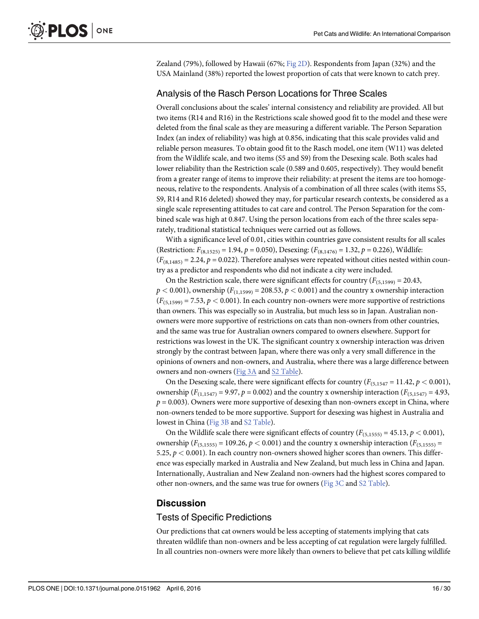<span id="page-15-0"></span>Zealand (79%), followed by Hawaii (67%; [Fig 2D\)](#page-14-0). Respondents from Japan (32%) and the USA Mainland (38%) reported the lowest proportion of cats that were known to catch prey.

### Analysis of the Rasch Person Locations for Three Scales

Overall conclusions about the scales' internal consistency and reliability are provided. All but two items (R14 and R16) in the Restrictions scale showed good fit to the model and these were deleted from the final scale as they are measuring a different variable. The Person Separation Index (an index of reliability) was high at 0.856, indicating that this scale provides valid and reliable person measures. To obtain good fit to the Rasch model, one item (W11) was deleted from the Wildlife scale, and two items (S5 and S9) from the Desexing scale. Both scales had lower reliability than the Restriction scale (0.589 and 0.605, respectively). They would benefit from a greater range of items to improve their reliability: at present the items are too homogeneous, relative to the respondents. Analysis of a combination of all three scales (with items S5, S9, R14 and R16 deleted) showed they may, for particular research contexts, be considered as a single scale representing attitudes to cat care and control. The Person Separation for the combined scale was high at 0.847. Using the person locations from each of the three scales separately, traditional statistical techniques were carried out as follows.

With a significance level of 0.01, cities within countries gave consistent results for all scales (Restriction:  $F_{(8,1525)} = 1.94$ ,  $p = 0.050$ ), Desexing: ( $F_{(8,1476)} = 1.32$ ,  $p = 0.226$ ), Wildlife:  $(F_{(8,1485)} = 2.24, p = 0.022)$ . Therefore analyses were repeated without cities nested within country as a predictor and respondents who did not indicate a city were included.

On the Restriction scale, there were significant effects for country ( $F_{(5,1599)} = 20.43$ ,  $p < 0.001$ ), ownership ( $F_{(1,1599)} = 208.53$ ,  $p < 0.001$ ) and the country x ownership interaction  $(F_{(5,1599)} = 7.53, p < 0.001)$ . In each country non-owners were more supportive of restrictions than owners. This was especially so in Australia, but much less so in Japan. Australian nonowners were more supportive of restrictions on cats than non-owners from other countries, and the same was true for Australian owners compared to owners elsewhere. Support for restrictions was lowest in the UK. The significant country x ownership interaction was driven strongly by the contrast between Japan, where there was only a very small difference in the opinions of owners and non-owners, and Australia, where there was a large difference between owners and non-owners ([Fig 3A](#page-16-0) and [S2 Table](#page-23-0)).

On the Desexing scale, there were significant effects for country ( $F_{(5,1547)} = 11.42$ ,  $p < 0.001$ ), ownership ( $F_{(1,1547)} = 9.97$ ,  $p = 0.002$ ) and the country x ownership interaction ( $F_{(5,1547)} = 4.93$ ,  $p = 0.003$ ). Owners were more supportive of desexing than non-owners except in China, where non-owners tended to be more supportive. Support for desexing was highest in Australia and lowest in China [\(Fig 3B](#page-16-0) and [S2 Table](#page-23-0)).

On the Wildlife scale there were significant effects of country ( $F_{(5,1555)} = 45.13$ ,  $p < 0.001$ ), ownership  $(F_{(5,1555)} = 109.26, p < 0.001)$  and the country x ownership interaction  $(F_{(5,1555)} =$ 5.25,  $p < 0.001$ ). In each country non-owners showed higher scores than owners. This difference was especially marked in Australia and New Zealand, but much less in China and Japan. Internationally, Australian and New Zealand non-owners had the highest scores compared to other non-owners, and the same was true for owners ([Fig 3C](#page-16-0) and [S2 Table\)](#page-23-0).

#### **Discussion**

#### Tests of Specific Predictions

Our predictions that cat owners would be less accepting of statements implying that cats threaten wildlife than non-owners and be less accepting of cat regulation were largely fulfilled. In all countries non-owners were more likely than owners to believe that pet cats killing wildlife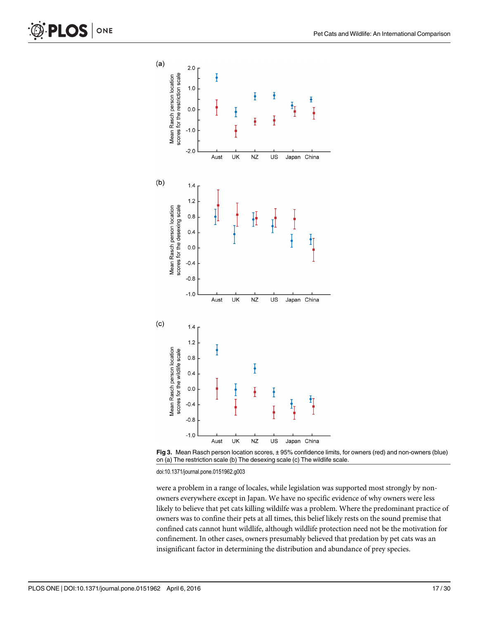<span id="page-16-0"></span>



doi:10.1371/journal.pone.0151962.g003

were a problem in a range of locales, while legislation was supported most strongly by nonowners everywhere except in Japan. We have no specific evidence of why owners were less likely to believe that pet cats killing wildilfe was a problem. Where the predominant practice of owners was to confine their pets at all times, this belief likely rests on the sound premise that confined cats cannot hunt wildlife, although wildlife protection need not be the motivation for confinement. In other cases, owners presumably believed that predation by pet cats was an insignificant factor in determining the distribution and abundance of prey species.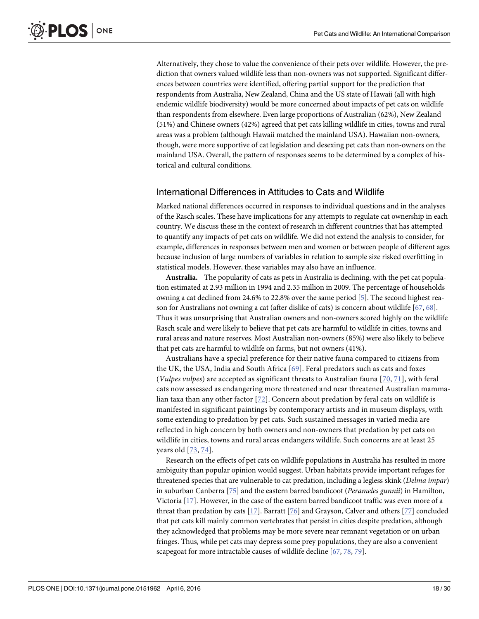<span id="page-17-0"></span>Alternatively, they chose to value the convenience of their pets over wildlife. However, the prediction that owners valued wildlife less than non-owners was not supported. Significant differences between countries were identified, offering partial support for the prediction that respondents from Australia, New Zealand, China and the US state of Hawaii (all with high endemic wildlife biodiversity) would be more concerned about impacts of pet cats on wildlife than respondents from elsewhere. Even large proportions of Australian (62%), New Zealand (51%) and Chinese owners (42%) agreed that pet cats killing wildlife in cities, towns and rural areas was a problem (although Hawaii matched the mainland USA). Hawaiian non-owners, though, were more supportive of cat legislation and desexing pet cats than non-owners on the mainland USA. Overall, the pattern of responses seems to be determined by a complex of historical and cultural conditions.

#### International Differences in Attitudes to Cats and Wildlife

Marked national differences occurred in responses to individual questions and in the analyses of the Rasch scales. These have implications for any attempts to regulate cat ownership in each country. We discuss these in the context of research in different countries that has attempted to quantify any impacts of pet cats on wildlife. We did not extend the analysis to consider, for example, differences in responses between men and women or between people of different ages because inclusion of large numbers of variables in relation to sample size risked overfitting in statistical models. However, these variables may also have an influence.

Australia. The popularity of cats as pets in Australia is declining, with the pet cat population estimated at 2.93 million in 1994 and 2.35 million in 2009. The percentage of households owning a cat declined from 24.6% to 22.8% over the same period [\[5\]](#page-24-0). The second highest reason for Australians not owning a cat (after dislike of cats) is concern about wildlife [[67](#page-26-0), [68](#page-26-0)]. Thus it was unsurprising that Australian owners and non-owners scored highly on the wildlife Rasch scale and were likely to believe that pet cats are harmful to wildlife in cities, towns and rural areas and nature reserves. Most Australian non-owners (85%) were also likely to believe that pet cats are harmful to wildlife on farms, but not owners (41%).

Australians have a special preference for their native fauna compared to citizens from the UK, the USA, India and South Africa [[69\]](#page-26-0). Feral predators such as cats and foxes (Vulpes vulpes) are accepted as significant threats to Australian fauna  $[70, 71]$  $[70, 71]$  $[70, 71]$  $[70, 71]$ , with feral cats now assessed as endangering more threatened and near threatened Australian mammalian taxa than any other factor [\[72](#page-27-0)]. Concern about predation by feral cats on wildlife is manifested in significant paintings by contemporary artists and in museum displays, with some extending to predation by pet cats. Such sustained messages in varied media are reflected in high concern by both owners and non-owners that predation by pet cats on wildlife in cities, towns and rural areas endangers wildlife. Such concerns are at least 25 years old [[73](#page-27-0), [74\]](#page-27-0).

Research on the effects of pet cats on wildlife populations in Australia has resulted in more ambiguity than popular opinion would suggest. Urban habitats provide important refuges for threatened species that are vulnerable to cat predation, including a legless skink (Delma impar) in suburban Canberra  $[75]$  $[75]$  $[75]$  and the eastern barred bandicoot (Perameles gunnii) in Hamilton, Victoria [\[17\]](#page-24-0). However, in the case of the eastern barred bandicoot traffic was even more of a threat than predation by cats  $[17]$  $[17]$  $[17]$ . Barratt  $[76]$  $[76]$  $[76]$  and Grayson, Calver and others  $[77]$  concluded that pet cats kill mainly common vertebrates that persist in cities despite predation, although they acknowledged that problems may be more severe near remnant vegetation or on urban fringes. Thus, while pet cats may depress some prey populations, they are also a convenient scapegoat for more intractable causes of wildlife decline [\[67,](#page-26-0) [78,](#page-27-0) [79\]](#page-27-0).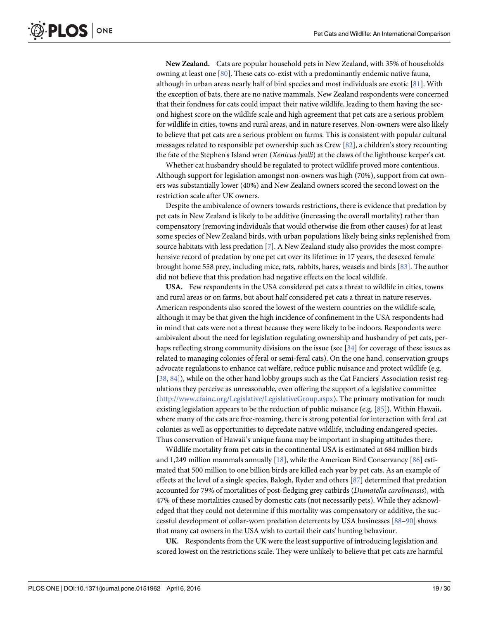<span id="page-18-0"></span>New Zealand. Cats are popular household pets in New Zealand, with 35% of households owning at least one [[80](#page-27-0)]. These cats co-exist with a predominantly endemic native fauna, although in urban areas nearly half of bird species and most individuals are exotic  $[81]$ . With the exception of bats, there are no native mammals. New Zealand respondents were concerned that their fondness for cats could impact their native wildlife, leading to them having the second highest score on the wildlife scale and high agreement that pet cats are a serious problem for wildlife in cities, towns and rural areas, and in nature reserves. Non-owners were also likely to believe that pet cats are a serious problem on farms. This is consistent with popular cultural messages related to responsible pet ownership such as Crew  $[82]$  $[82]$  $[82]$ , a children's story recounting the fate of the Stephen's Island wren (Xenicus lyalli) at the claws of the lighthouse keeper's cat.

Whether cat husbandry should be regulated to protect wildlife proved more contentious. Although support for legislation amongst non-owners was high (70%), support from cat owners was substantially lower (40%) and New Zealand owners scored the second lowest on the restriction scale after UK owners.

Despite the ambivalence of owners towards restrictions, there is evidence that predation by pet cats in New Zealand is likely to be additive (increasing the overall mortality) rather than compensatory (removing individuals that would otherwise die from other causes) for at least some species of New Zealand birds, with urban populations likely being sinks replenished from source habitats with less predation [\[7\]](#page-24-0). A New Zealand study also provides the most comprehensive record of predation by one pet cat over its lifetime: in 17 years, the desexed female brought home 558 prey, including mice, rats, rabbits, hares, weasels and birds [[83](#page-27-0)]. The author did not believe that this predation had negative effects on the local wildlife.

USA. Few respondents in the USA considered pet cats a threat to wildlife in cities, towns and rural areas or on farms, but about half considered pet cats a threat in nature reserves. American respondents also scored the lowest of the western countries on the wildlife scale, although it may be that given the high incidence of confinement in the USA respondents had in mind that cats were not a threat because they were likely to be indoors. Respondents were ambivalent about the need for legislation regulating ownership and husbandry of pet cats, perhaps reflecting strong community divisions on the issue (see [[34](#page-25-0)] for coverage of these issues as related to managing colonies of feral or semi-feral cats). On the one hand, conservation groups advocate regulations to enhance cat welfare, reduce public nuisance and protect wildlife (e.g. [\[38](#page-25-0), [84\]](#page-27-0)), while on the other hand lobby groups such as the Cat Fanciers' Association resist regulations they perceive as unreasonable, even offering the support of a legislative committee [\(http://www.cfainc.org/Legislative/LegislativeGroup.aspx](http://www.cfainc.org/Legislative/LegislativeGroup.aspx)). The primary motivation for much existing legislation appears to be the reduction of public nuisance (e.g. [[85\]](#page-27-0)). Within Hawaii, where many of the cats are free-roaming, there is strong potential for interaction with feral cat colonies as well as opportunities to depredate native wildlife, including endangered species. Thus conservation of Hawaii's unique fauna may be important in shaping attitudes there.

Wildlife mortality from pet cats in the continental USA is estimated at 684 million birds and 1,249 million mammals annually  $[18]$ , while the American Bird Conservancy  $[86]$  estimated that 500 million to one billion birds are killed each year by pet cats. As an example of effects at the level of a single species, Balogh, Ryder and others  $[87]$  determined that predation accounted for 79% of mortalities of post-fledging grey catbirds (Dumatella carolinensis), with 47% of these mortalities caused by domestic cats (not necessarily pets). While they acknowledged that they could not determine if this mortality was compensatory or additive, the successful development of collar-worn predation deterrents by USA businesses [\[88](#page-27-0)–[90](#page-27-0)] shows that many cat owners in the USA wish to curtail their cats' hunting behaviour.

UK. Respondents from the UK were the least supportive of introducing legislation and scored lowest on the restrictions scale. They were unlikely to believe that pet cats are harmful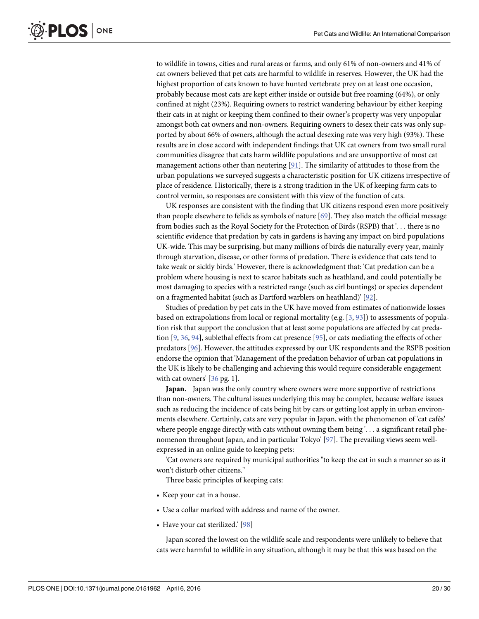<span id="page-19-0"></span>to wildlife in towns, cities and rural areas or farms, and only 61% of non-owners and 41% of cat owners believed that pet cats are harmful to wildlife in reserves. However, the UK had the highest proportion of cats known to have hunted vertebrate prey on at least one occasion, probably because most cats are kept either inside or outside but free roaming (64%), or only confined at night (23%). Requiring owners to restrict wandering behaviour by either keeping their cats in at night or keeping them confined to their owner's property was very unpopular amongst both cat owners and non-owners. Requiring owners to desex their cats was only supported by about 66% of owners, although the actual desexing rate was very high (93%). These results are in close accord with independent findings that UK cat owners from two small rural communities disagree that cats harm wildlife populations and are unsupportive of most cat management actions other than neutering [\[91\]](#page-27-0). The similarity of attitudes to those from the urban populations we surveyed suggests a characteristic position for UK citizens irrespective of place of residence. Historically, there is a strong tradition in the UK of keeping farm cats to control vermin, so responses are consistent with this view of the function of cats.

UK responses are consistent with the finding that UK citizens respond even more positively than people elsewhere to felids as symbols of nature [[69](#page-26-0)]. They also match the official message from bodies such as the Royal Society for the Protection of Birds (RSPB) that '... there is no scientific evidence that predation by cats in gardens is having any impact on bird populations UK-wide. This may be surprising, but many millions of birds die naturally every year, mainly through starvation, disease, or other forms of predation. There is evidence that cats tend to take weak or sickly birds.' However, there is acknowledgment that: 'Cat predation can be a problem where housing is next to scarce habitats such as heathland, and could potentially be most damaging to species with a restricted range (such as cirl buntings) or species dependent on a fragmented habitat (such as Dartford warblers on heathland)' [[92](#page-27-0)].

Studies of predation by pet cats in the UK have moved from estimates of nationwide losses based on extrapolations from local or regional mortality (e.g.  $[3, 93]$  $[3, 93]$  $[3, 93]$  $[3, 93]$  $[3, 93]$ ) to assessments of population risk that support the conclusion that at least some populations are affected by cat predation [[9](#page-24-0), [36](#page-25-0), [94](#page-27-0)], sublethal effects from cat presence [\[95](#page-27-0)], or cats mediating the effects of other predators [\[96](#page-28-0)]. However, the attitudes expressed by our UK respondents and the RSPB position endorse the opinion that 'Management of the predation behavior of urban cat populations in the UK is likely to be challenging and achieving this would require considerable engagement with cat owners' [[36](#page-25-0) pg. 1].

Japan. Japan was the only country where owners were more supportive of restrictions than non-owners. The cultural issues underlying this may be complex, because welfare issues such as reducing the incidence of cats being hit by cars or getting lost apply in urban environments elsewhere. Certainly, cats are very popular in Japan, with the phenomenon of 'cat cafés' where people engage directly with cats without owning them being '... a significant retail phenomenon throughout Japan, and in particular Tokyo' [[97](#page-28-0)]. The prevailing views seem wellexpressed in an online guide to keeping pets:

'Cat owners are required by municipal authorities "to keep the cat in such a manner so as it won't disturb other citizens."

Three basic principles of keeping cats:

- Keep your cat in a house.
- Use a collar marked with address and name of the owner.
- Have your cat sterilized.' [[98](#page-28-0)]

Japan scored the lowest on the wildlife scale and respondents were unlikely to believe that cats were harmful to wildlife in any situation, although it may be that this was based on the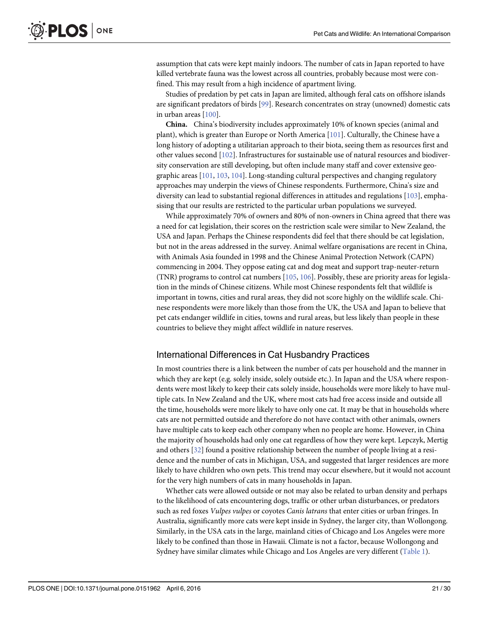<span id="page-20-0"></span>assumption that cats were kept mainly indoors. The number of cats in Japan reported to have killed vertebrate fauna was the lowest across all countries, probably because most were confined. This may result from a high incidence of apartment living.

Studies of predation by pet cats in Japan are limited, although feral cats on offshore islands are significant predators of birds [\[99\]](#page-28-0). Research concentrates on stray (unowned) domestic cats in urban areas [[100](#page-28-0)].

China. China's biodiversity includes approximately 10% of known species (animal and plant), which is greater than Europe or North America [[101\]](#page-28-0). Culturally, the Chinese have a long history of adopting a utilitarian approach to their biota, seeing them as resources first and other values second [\[102\]](#page-28-0). Infrastructures for sustainable use of natural resources and biodiversity conservation are still developing, but often include many staff and cover extensive geographic areas [[101](#page-28-0), [103](#page-28-0), [104\]](#page-28-0). Long-standing cultural perspectives and changing regulatory approaches may underpin the views of Chinese respondents. Furthermore, China's size and diversity can lead to substantial regional differences in attitudes and regulations [[103](#page-28-0)], emphasising that our results are restricted to the particular urban populations we surveyed.

While approximately 70% of owners and 80% of non-owners in China agreed that there was a need for cat legislation, their scores on the restriction scale were similar to New Zealand, the USA and Japan. Perhaps the Chinese respondents did feel that there should be cat legislation, but not in the areas addressed in the survey. Animal welfare organisations are recent in China, with Animals Asia founded in 1998 and the Chinese Animal Protection Network (CAPN) commencing in 2004. They oppose eating cat and dog meat and support trap-neuter-return (TNR) programs to control cat numbers  $[105, 106]$  $[105, 106]$  $[105, 106]$  $[105, 106]$ . Possibly, these are priority areas for legislation in the minds of Chinese citizens. While most Chinese respondents felt that wildlife is important in towns, cities and rural areas, they did not score highly on the wildlife scale. Chinese respondents were more likely than those from the UK, the USA and Japan to believe that pet cats endanger wildlife in cities, towns and rural areas, but less likely than people in these countries to believe they might affect wildlife in nature reserves.

#### International Differences in Cat Husbandry Practices

In most countries there is a link between the number of cats per household and the manner in which they are kept (e.g. solely inside, solely outside etc.). In Japan and the USA where respondents were most likely to keep their cats solely inside, households were more likely to have multiple cats. In New Zealand and the UK, where most cats had free access inside and outside all the time, households were more likely to have only one cat. It may be that in households where cats are not permitted outside and therefore do not have contact with other animals, owners have multiple cats to keep each other company when no people are home. However, in China the majority of households had only one cat regardless of how they were kept. Lepczyk, Mertig and others [[32](#page-25-0)] found a positive relationship between the number of people living at a residence and the number of cats in Michigan, USA, and suggested that larger residences are more likely to have children who own pets. This trend may occur elsewhere, but it would not account for the very high numbers of cats in many households in Japan.

Whether cats were allowed outside or not may also be related to urban density and perhaps to the likelihood of cats encountering dogs, traffic or other urban disturbances, or predators such as red foxes Vulpes vulpes or coyotes Canis latrans that enter cities or urban fringes. In Australia, significantly more cats were kept inside in Sydney, the larger city, than Wollongong. Similarly, in the USA cats in the large, mainland cities of Chicago and Los Angeles were more likely to be confined than those in Hawaii. Climate is not a factor, because Wollongong and Sydney have similar climates while Chicago and Los Angeles are very different ([Table 1](#page-3-0)).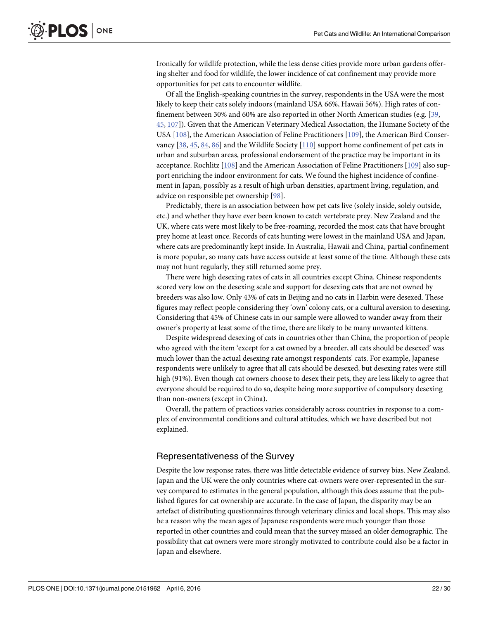<span id="page-21-0"></span>Ironically for wildlife protection, while the less dense cities provide more urban gardens offering shelter and food for wildlife, the lower incidence of cat confinement may provide more opportunities for pet cats to encounter wildlife.

Of all the English-speaking countries in the survey, respondents in the USA were the most likely to keep their cats solely indoors (mainland USA 66%, Hawaii 56%). High rates of confinement between 30% and 60% are also reported in other North American studies (e.g. [[39,](#page-25-0) [45,](#page-26-0) [107](#page-28-0)]). Given that the American Veterinary Medical Association, the Humane Society of the USA [[108\]](#page-28-0), the American Association of Feline Practitioners [[109](#page-28-0)], the American Bird Conservancy  $[38, 45, 84, 86]$  $[38, 45, 84, 86]$  $[38, 45, 84, 86]$  $[38, 45, 84, 86]$  $[38, 45, 84, 86]$  $[38, 45, 84, 86]$  $[38, 45, 84, 86]$  $[38, 45, 84, 86]$  $[38, 45, 84, 86]$  and the Wildlife Society  $[110]$  support home confinement of pet cats in urban and suburban areas, professional endorsement of the practice may be important in its acceptance. Rochlitz [\[108](#page-28-0)] and the American Association of Feline Practitioners [[109](#page-28-0)] also support enriching the indoor environment for cats. We found the highest incidence of confinement in Japan, possibly as a result of high urban densities, apartment living, regulation, and advice on responsible pet ownership [\[98\]](#page-28-0).

Predictably, there is an association between how pet cats live (solely inside, solely outside, etc.) and whether they have ever been known to catch vertebrate prey. New Zealand and the UK, where cats were most likely to be free-roaming, recorded the most cats that have brought prey home at least once. Records of cats hunting were lowest in the mainland USA and Japan, where cats are predominantly kept inside. In Australia, Hawaii and China, partial confinement is more popular, so many cats have access outside at least some of the time. Although these cats may not hunt regularly, they still returned some prey.

There were high desexing rates of cats in all countries except China. Chinese respondents scored very low on the desexing scale and support for desexing cats that are not owned by breeders was also low. Only 43% of cats in Beijing and no cats in Harbin were desexed. These figures may reflect people considering they 'own' colony cats, or a cultural aversion to desexing. Considering that 45% of Chinese cats in our sample were allowed to wander away from their owner's property at least some of the time, there are likely to be many unwanted kittens.

Despite widespread desexing of cats in countries other than China, the proportion of people who agreed with the item 'except for a cat owned by a breeder, all cats should be desexed' was much lower than the actual desexing rate amongst respondents' cats. For example, Japanese respondents were unlikely to agree that all cats should be desexed, but desexing rates were still high (91%). Even though cat owners choose to desex their pets, they are less likely to agree that everyone should be required to do so, despite being more supportive of compulsory desexing than non-owners (except in China).

Overall, the pattern of practices varies considerably across countries in response to a complex of environmental conditions and cultural attitudes, which we have described but not explained.

#### Representativeness of the Survey

Despite the low response rates, there was little detectable evidence of survey bias. New Zealand, Japan and the UK were the only countries where cat-owners were over-represented in the survey compared to estimates in the general population, although this does assume that the published figures for cat ownership are accurate. In the case of Japan, the disparity may be an artefact of distributing questionnaires through veterinary clinics and local shops. This may also be a reason why the mean ages of Japanese respondents were much younger than those reported in other countries and could mean that the survey missed an older demographic. The possibility that cat owners were more strongly motivated to contribute could also be a factor in Japan and elsewhere.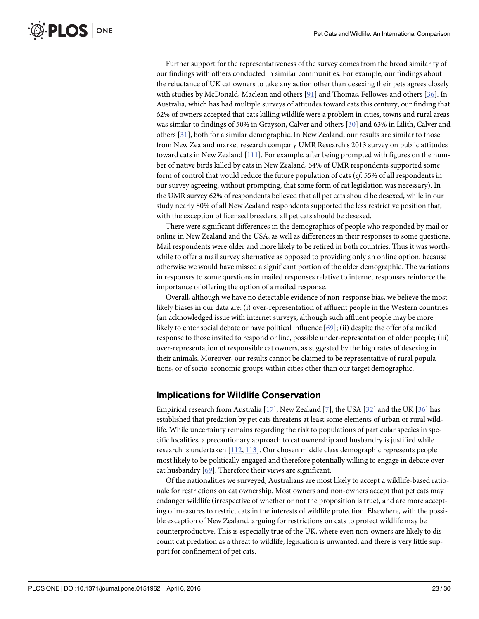<span id="page-22-0"></span>**PLOS I** ONE

> Further support for the representativeness of the survey comes from the broad similarity of our findings with others conducted in similar communities. For example, our findings about the reluctance of UK cat owners to take any action other than desexing their pets agrees closely with studies by McDonald, Maclean and others [\[91](#page-27-0)] and Thomas, Fellowes and others [[36](#page-25-0)]. In Australia, which has had multiple surveys of attitudes toward cats this century, our finding that 62% of owners accepted that cats killing wildlife were a problem in cities, towns and rural areas was similar to findings of 50% in Grayson, Calver and others [\[30\]](#page-25-0) and 63% in Lilith, Calver and others [\[31](#page-25-0)], both for a similar demographic. In New Zealand, our results are similar to those from New Zealand market research company UMR Research's 2013 survey on public attitudes toward cats in New Zealand [[111](#page-28-0)]. For example, after being prompted with figures on the number of native birds killed by cats in New Zealand, 54% of UMR respondents supported some form of control that would reduce the future population of cats (cf. 55% of all respondents in our survey agreeing, without prompting, that some form of cat legislation was necessary). In the UMR survey 62% of respondents believed that all pet cats should be desexed, while in our study nearly 80% of all New Zealand respondents supported the less restrictive position that, with the exception of licensed breeders, all pet cats should be desexed.

> There were significant differences in the demographics of people who responded by mail or online in New Zealand and the USA, as well as differences in their responses to some questions. Mail respondents were older and more likely to be retired in both countries. Thus it was worthwhile to offer a mail survey alternative as opposed to providing only an online option, because otherwise we would have missed a significant portion of the older demographic. The variations in responses to some questions in mailed responses relative to internet responses reinforce the importance of offering the option of a mailed response.

> Overall, although we have no detectable evidence of non-response bias, we believe the most likely biases in our data are: (i) over-representation of affluent people in the Western countries (an acknowledged issue with internet surveys, although such affluent people may be more likely to enter social debate or have political influence [[69\]](#page-26-0); (ii) despite the offer of a mailed response to those invited to respond online, possible under-representation of older people; (iii) over-representation of responsible cat owners, as suggested by the high rates of desexing in their animals. Moreover, our results cannot be claimed to be representative of rural populations, or of socio-economic groups within cities other than our target demographic.

#### Implications for Wildlife Conservation

Empirical research from Australia [\[17\]](#page-24-0), New Zealand [[7\]](#page-24-0), the USA [[32](#page-25-0)] and the UK [[36](#page-25-0)] has established that predation by pet cats threatens at least some elements of urban or rural wildlife. While uncertainty remains regarding the risk to populations of particular species in specific localities, a precautionary approach to cat ownership and husbandry is justified while research is undertaken [\[112](#page-28-0), [113](#page-28-0)]. Our chosen middle class demographic represents people most likely to be politically engaged and therefore potentially willing to engage in debate over cat husbandry [[69](#page-26-0)]. Therefore their views are significant.

Of the nationalities we surveyed, Australians are most likely to accept a wildlife-based rationale for restrictions on cat ownership. Most owners and non-owners accept that pet cats may endanger wildlife (irrespective of whether or not the proposition is true), and are more accepting of measures to restrict cats in the interests of wildlife protection. Elsewhere, with the possible exception of New Zealand, arguing for restrictions on cats to protect wildlife may be counterproductive. This is especially true of the UK, where even non-owners are likely to discount cat predation as a threat to wildlife, legislation is unwanted, and there is very little support for confinement of pet cats.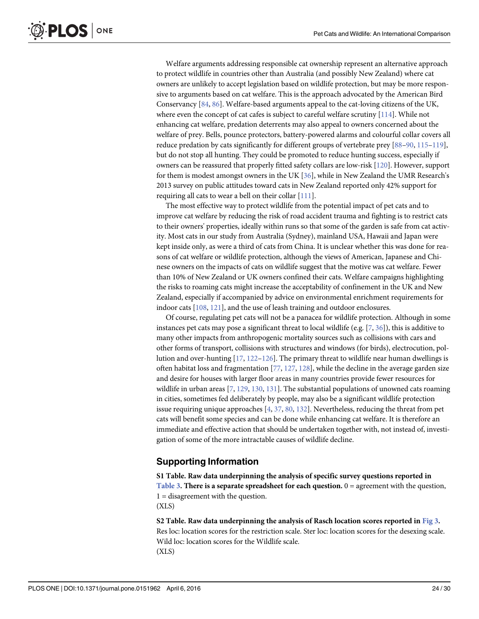<span id="page-23-0"></span>Welfare arguments addressing responsible cat ownership represent an alternative approach to protect wildlife in countries other than Australia (and possibly New Zealand) where cat owners are unlikely to accept legislation based on wildlife protection, but may be more responsive to arguments based on cat welfare. This is the approach advocated by the American Bird Conservancy [\[84,](#page-27-0) [86\]](#page-27-0). Welfare-based arguments appeal to the cat-loving citizens of the UK, where even the concept of cat cafes is subject to careful welfare scrutiny  $[114]$  $[114]$  $[114]$ . While not enhancing cat welfare, predation deterrents may also appeal to owners concerned about the welfare of prey. Bells, pounce protectors, battery-powered alarms and colourful collar covers all reduce predation by cats significantly for different groups of vertebrate prey [[88](#page-27-0)–[90,](#page-27-0) [115](#page-28-0)–[119](#page-28-0)], but do not stop all hunting. They could be promoted to reduce hunting success, especially if owners can be reassured that properly fitted safety collars are low-risk [\[120\]](#page-28-0). However, support for them is modest amongst owners in the UK [\[36\]](#page-25-0), while in New Zealand the UMR Research's 2013 survey on public attitudes toward cats in New Zealand reported only 42% support for requiring all cats to wear a bell on their collar [\[111](#page-28-0)].

The most effective way to protect wildlife from the potential impact of pet cats and to improve cat welfare by reducing the risk of road accident trauma and fighting is to restrict cats to their owners' properties, ideally within runs so that some of the garden is safe from cat activity. Most cats in our study from Australia (Sydney), mainland USA, Hawaii and Japan were kept inside only, as were a third of cats from China. It is unclear whether this was done for reasons of cat welfare or wildlife protection, although the views of American, Japanese and Chinese owners on the impacts of cats on wildlife suggest that the motive was cat welfare. Fewer than 10% of New Zealand or UK owners confined their cats. Welfare campaigns highlighting the risks to roaming cats might increase the acceptability of confinement in the UK and New Zealand, especially if accompanied by advice on environmental enrichment requirements for indoor cats [[108](#page-28-0), [121](#page-28-0)], and the use of leash training and outdoor enclosures.

Of course, regulating pet cats will not be a panacea for wildlife protection. Although in some instances pet cats may pose a significant threat to local wildlife (e.g. [[7,](#page-24-0) [36\]](#page-25-0)), this is additive to many other impacts from anthropogenic mortality sources such as collisions with cars and other forms of transport, collisions with structures and windows (for birds), electrocution, pollution and over-hunting  $[17, 122-126]$  $[17, 122-126]$  $[17, 122-126]$  $[17, 122-126]$  $[17, 122-126]$  $[17, 122-126]$ . The primary threat to wildlife near human dwellings is often habitat loss and fragmentation  $[77, 127, 128]$  $[77, 127, 128]$  $[77, 127, 128]$  $[77, 127, 128]$  $[77, 127, 128]$  $[77, 127, 128]$ , while the decline in the average garden size and desire for houses with larger floor areas in many countries provide fewer resources for wildlife in urban areas  $[7, 129, 130, 131]$  $[7, 129, 130, 131]$  $[7, 129, 130, 131]$  $[7, 129, 130, 131]$  $[7, 129, 130, 131]$  $[7, 129, 130, 131]$  $[7, 129, 130, 131]$ . The substantial populations of unowned cats roaming in cities, sometimes fed deliberately by people, may also be a significant wildlife protection issue requiring unique approaches  $[4, 37, 80, 132]$  $[4, 37, 80, 132]$  $[4, 37, 80, 132]$  $[4, 37, 80, 132]$  $[4, 37, 80, 132]$  $[4, 37, 80, 132]$  $[4, 37, 80, 132]$ . Nevertheless, reducing the threat from pet cats will benefit some species and can be done while enhancing cat welfare. It is therefore an immediate and effective action that should be undertaken together with, not instead of, investigation of some of the more intractable causes of wildlife decline.

#### Supporting Information

[S1 Table](http://www.plosone.org/article/fetchSingleRepresentation.action?uri=info:doi/10.1371/journal.pone.0151962.s001). Raw data underpinning the analysis of specific survey questions reported in [Table 3](#page-10-0). There is a separate spreadsheet for each question.  $0 =$  agreement with the question, 1 = disagreement with the question. (XLS)

[S2 Table](http://www.plosone.org/article/fetchSingleRepresentation.action?uri=info:doi/10.1371/journal.pone.0151962.s002). Raw data underpinning the analysis of Rasch location scores reported in [Fig 3](#page-16-0). Res loc: location scores for the restriction scale. Ster loc: location scores for the desexing scale. Wild loc: location scores for the Wildlife scale. (XLS)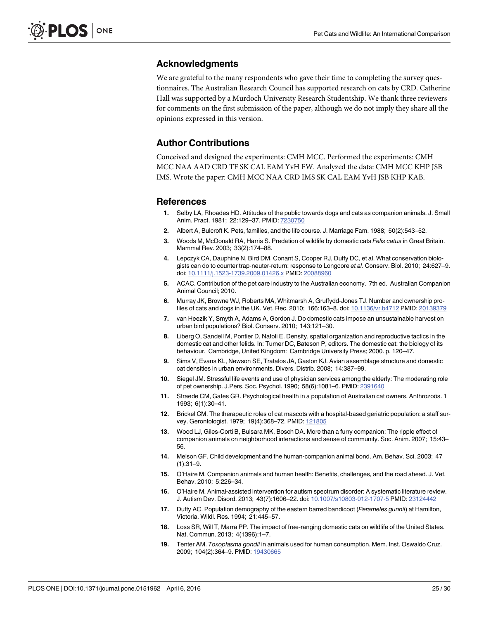#### <span id="page-24-0"></span>Acknowledgments

We are grateful to the many respondents who gave their time to completing the survey questionnaires. The Australian Research Council has supported research on cats by CRD. Catherine Hall was supported by a Murdoch University Research Studentship. We thank three reviewers for comments on the first submission of the paper, although we do not imply they share all the opinions expressed in this version.

#### Author Contributions

Conceived and designed the experiments: CMH MCC. Performed the experiments: CMH MCC NAA AAD CRD TF SK CAL EAM YvH FW. Analyzed the data: CMH MCC KHP JSB IMS. Wrote the paper: CMH MCC NAA CRD IMS SK CAL EAM YvH JSB KHP KAB.

#### References

- [1.](#page-1-0) Selby LA, Rhoades HD. Attitudes of the public towards dogs and cats as companion animals. J. Small Anim. Pract. 1981; 22:129–37. PMID: [7230750](http://www.ncbi.nlm.nih.gov/pubmed/7230750)
- [2.](#page-1-0) Albert A, Bulcroft K. Pets, families, and the life course. J. Marriage Fam. 1988; 50(2):543–52.
- [3.](#page-1-0) Woods M, McDonald RA, Harris S. Predation of wildlife by domestic cats Felis catus in Great Britain. Mammal Rev. 2003; 33(2):174–88.
- [4.](#page-1-0) Lepczyk CA, Dauphine N, Bird DM, Conant S, Cooper RJ, Duffy DC, et al. What conservation biologists can do to counter trap-neuter-return: response to Longcore et al. Conserv. Biol. 2010; 24:627–9. doi: [10.1111/j.1523-1739.2009.01426.x](http://dx.doi.org/10.1111/j.1523-1739.2009.01426.x) PMID: [20088960](http://www.ncbi.nlm.nih.gov/pubmed/20088960)
- [5.](#page-1-0) ACAC. Contribution of the pet care industry to the Australian economy. 7th ed. Australian Companion Animal Council; 2010.
- [6.](#page-1-0) Murray JK, Browne WJ, Roberts MA, Whitmarsh A, Gruffydd-Jones TJ. Number and ownership profiles of cats and dogs in the UK. Vet. Rec. 2010; 166:163–8. doi: [10.1136/vr.b4712](http://dx.doi.org/10.1136/vr.b4712) PMID: [20139379](http://www.ncbi.nlm.nih.gov/pubmed/20139379)
- [7.](#page-1-0) van Heezik Y, Smyth A, Adams A, Gordon J. Do domestic cats impose an unsustainable harvest on urban bird populations? Biol. Conserv. 2010; 143:121–30.
- [8.](#page-1-0) Liberg O, Sandell M, Pontier D, Natoli E. Density, spatial organization and reproductive tactics in the domestic cat and other felids. In: Turner DC, Bateson P, editors. The domestic cat: the biology of its behaviour. Cambridge, United Kingdom: Cambridge University Press; 2000. p. 120–47.
- [9.](#page-1-0) Sims V, Evans KL, Newson SE, Tratalos JA, Gaston KJ. Avian assemblage structure and domestic cat densities in urban environments. Divers. Distrib. 2008; 14:387–99.
- [10.](#page-1-0) Siegel JM. Stressful life events and use of physician services among the elderly: The moderating role of pet ownership. J.Pers. Soc. Psychol. 1990; 58(6):1081–6. PMID: [2391640](http://www.ncbi.nlm.nih.gov/pubmed/2391640)
- 11. Straede CM, Gates GR. Psychological health in a population of Australian cat owners. Anthrozoös. 1 1993; 6(1):30–41.
- 12. Brickel CM. The therapeutic roles of cat mascots with a hospital-based geriatric population: a staff sur-vey. Gerontologist. 1979; 19(4):368-72. PMID: [121805](http://www.ncbi.nlm.nih.gov/pubmed/121805)
- [13.](#page-1-0) Wood LJ, Giles-Corti B, Bulsara MK, Bosch DA. More than a furry companion: The ripple effect of companion animals on neighborhood interactions and sense of community. Soc. Anim. 2007; 15:43– 56.
- [14.](#page-1-0) Melson GF. Child development and the human-companion animal bond. Am. Behav. Sci. 2003; 47  $(1):31-9.$
- 15. O'Haire M. Companion animals and human health: Benefits, challenges, and the road ahead. J. Vet. Behav. 2010; 5:226–34.
- [16.](#page-1-0) O'Haire M. Animal-assisted intervention for autism spectrum disorder: A systematic literature review. J. Autism Dev. Disord. 2013; 43(7):1606–22. doi: [10.1007/s10803-012-1707-5](http://dx.doi.org/10.1007/s10803-012-1707-5) PMID: [23124442](http://www.ncbi.nlm.nih.gov/pubmed/23124442)
- [17.](#page-1-0) Dufty AC. Population demography of the eastern barred bandicoot (Perameles gunnii) at Hamilton, Victoria. Wildl. Res. 1994; 21:445–57.
- [18.](#page-1-0) Loss SR, Will T, Marra PP. The impact of free-ranging domestic cats on wildlife of the United States. Nat. Commun. 2013; 4(1396):1–7.
- [19.](#page-1-0) Tenter AM. Toxoplasma gondii in animals used for human consumption. Mem. Inst. Oswaldo Cruz. 2009; 104(2):364–9. PMID: [19430665](http://www.ncbi.nlm.nih.gov/pubmed/19430665)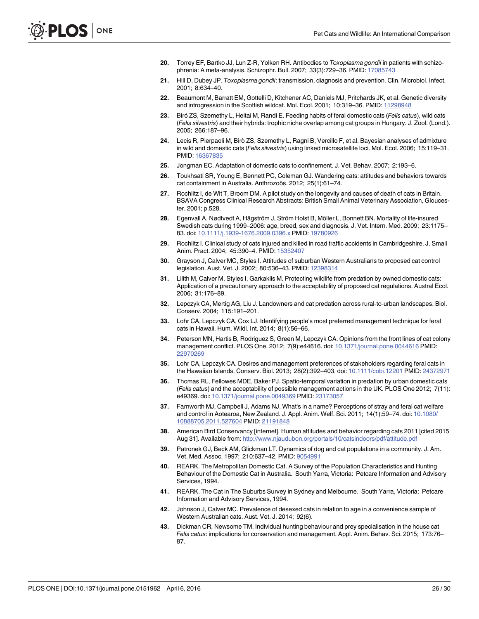- <span id="page-25-0"></span>20. Torrey EF, Bartko JJ, Lun Z-R, Yolken RH. Antibodies to Toxoplasma gondii in patients with schizophrenia: A meta-analysis. Schizophr. Bull. 2007; 33(3):729–36. PMID: [17085743](http://www.ncbi.nlm.nih.gov/pubmed/17085743)
- [21.](#page-1-0) Hill D, Dubey JP. Toxoplasma gondii: transmission, diagnosis and prevention. Clin. Microbiol. Infect. 2001; 8:634–40.
- [22.](#page-1-0) Beaumont M, Barratt EM, Gottelli D, Kitchener AC, Daniels MJ, Pritchards JK, et al. Genetic diversity and introgression in the Scottish wildcat. Mol. Ecol. 2001; 10:319–36. PMID: [11298948](http://www.ncbi.nlm.nih.gov/pubmed/11298948)
- [23.](#page-1-0) Biró ZS, Szemethy L, Heltai M, Randi E. Feeding habits of feral domestic cats (Felis catus), wild cats (Felis silvestris) and their hybrids: trophic niche overlap among cat groups in Hungary. J. Zool. (Lond.). 2005; 266:187–96.
- [24.](#page-1-0) Lecis R, Pierpaoli M, Birò ZS, Szemethy L, Ragni B, Vercillo F, et al. Bayesian analyses of admixture in wild and domestic cats (Felis silvestris) using linked microsatellite loci. Mol. Ecol. 2006; 15:119–31. PMID: [16367835](http://www.ncbi.nlm.nih.gov/pubmed/16367835)
- [25.](#page-1-0) Jongman EC. Adaptation of domestic cats to confinement. J. Vet. Behav. 2007; 2:193–6.
- [26.](#page-1-0) Toukhsati SR, Young E, Bennett PC, Coleman GJ. Wandering cats: attitudes and behaviors towards cat containment in Australia. Anthrozoös. 2012; 25(1):61–74.
- [27.](#page-1-0) Rochlitz I, de Wit T, Broom DM. A pilot study on the longevity and causes of death of cats in Britain. BSAVA Congress Clinical Research Abstracts: British Small Animal Veterinary Association, Gloucester. 2001; p.528.
- [28.](#page-1-0) Egenvall A, Nødtvedt A, Hägström J, Ström Holst B, Möller L, Bonnett BN. Mortality of life-insured Swedish cats during 1999–2006: age, breed, sex and diagnosis. J. Vet. Intern. Med. 2009; 23:1175– 83. doi: [10.1111/j.1939-1676.2009.0396.x](http://dx.doi.org/10.1111/j.1939-1676.2009.0396.x) PMID: [19780926](http://www.ncbi.nlm.nih.gov/pubmed/19780926)
- [29.](#page-1-0) Rochlitz I. Clinical study of cats injured and killed in road traffic accidents in Cambridgeshire. J. Small Anim. Pract. 2004; 45:390–4. PMID: [15352407](http://www.ncbi.nlm.nih.gov/pubmed/15352407)
- [30.](#page-1-0) Grayson J, Calver MC, Styles I. Attitudes of suburban Western Australians to proposed cat control legislation. Aust. Vet. J. 2002; 80:536–43. PMID: [12398314](http://www.ncbi.nlm.nih.gov/pubmed/12398314)
- [31.](#page-1-0) Lilith M, Calver M, Styles I, Garkaklis M. Protecting wildlife from predation by owned domestic cats: Application of a precautionary approach to the acceptability of proposed cat regulations. Austral Ecol. 2006; 31:176–89.
- [32.](#page-1-0) Lepczyk CA, Mertig AG, Liu J. Landowners and cat predation across rural-to-urban landscapes. Biol. Conserv. 2004; 115:191–201.
- 33. Lohr CA, Lepczyk CA, Cox LJ. Identifying people's most preferred management technique for feral cats in Hawaii. Hum. Wildl. Int. 2014; 8(1):56–66.
- [34.](#page-18-0) Peterson MN, Hartis B, Rodriguez S, Green M, Lepczyk CA. Opinions from the front lines of cat colony management conflict. PLOS One. 2012; 7(9):e44616. doi: [10.1371/journal.pone.0044616](http://dx.doi.org/10.1371/journal.pone.0044616) PMID: [22970269](http://www.ncbi.nlm.nih.gov/pubmed/22970269)
- [35.](#page-1-0) Lohr CA, Lepczyk CA. Desires and management preferences of stakeholders regarding feral cats in the Hawaiian Islands. Conserv. Biol. 2013; 28(2):392–403. doi: [10.1111/cobi.12201](http://dx.doi.org/10.1111/cobi.12201) PMID: [24372971](http://www.ncbi.nlm.nih.gov/pubmed/24372971)
- [36.](#page-1-0) Thomas RL, Fellowes MDE, Baker PJ. Spatio-temporal variation in predation by urban domestic cats (Felis catus) and the acceptability of possible management actions in the UK. PLOS One 2012; 7(11): e49369. doi: [10.1371/journal.pone.0049369](http://dx.doi.org/10.1371/journal.pone.0049369) PMID: [23173057](http://www.ncbi.nlm.nih.gov/pubmed/23173057)
- [37.](#page-1-0) Farnworth MJ, Campbell J, Adams NJ. What's in a name? Perceptions of stray and feral cat welfare and control in Aotearoa, New Zealand. J. Appl. Anim. Welf. Sci. 2011; 14(1):59–74. doi: [10.1080/](http://dx.doi.org/10.1080/10888705.2011.527604) [10888705.2011.527604](http://dx.doi.org/10.1080/10888705.2011.527604) PMID: [21191848](http://www.ncbi.nlm.nih.gov/pubmed/21191848)
- [38.](#page-1-0) American Bird Conservancy [internet]. Human attitudes and behavior regarding cats 2011 [cited 2015 Aug 31]. Available from: <http://www.njaudubon.org/portals/10/catsindoors/pdf/attitude.pdf>
- [39.](#page-1-0) Patronek GJ, Beck AM, Glickman LT. Dynamics of dog and cat populations in a community. J. Am. Vet. Med. Assoc. 1997; 210:637–42. PMID: [9054991](http://www.ncbi.nlm.nih.gov/pubmed/9054991)
- [40.](#page-1-0) REARK. The Metropolitan Domestic Cat. A Survey of the Population Characteristics and Hunting Behaviour of the Domestic Cat in Australia. South Yarra, Victoria: Petcare Information and Advisory Services, 1994.
- [41.](#page-1-0) REARK. The Cat in The Suburbs Survey in Sydney and Melbourne. South Yarra, Victoria: Petcare Information and Advisory Services, 1994.
- [42.](#page-1-0) Johnson J, Calver MC. Prevalence of desexed cats in relation to age in a convenience sample of Western Australian cats. Aust. Vet. J. 2014; 92(6).
- [43.](#page-1-0) Dickman CR, Newsome TM. Individual hunting behaviour and prey specialisation in the house cat Felis catus: implications for conservation and management. Appl. Anim. Behav. Sci. 2015; 173:76– 87.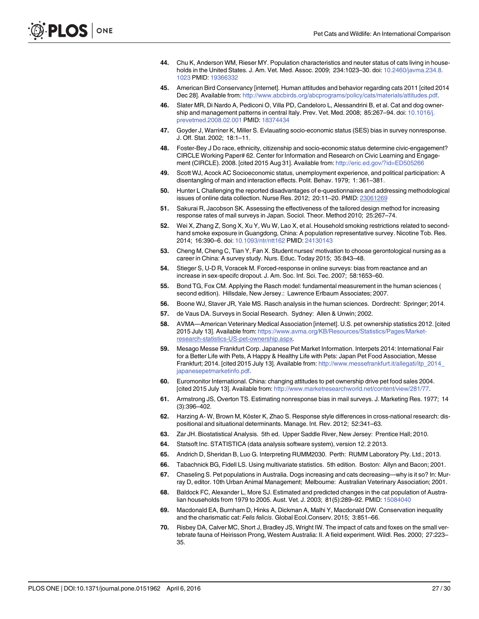- <span id="page-26-0"></span>[44.](#page-1-0) Chu K, Anderson WM, Rieser MY. Population characteristics and neuter status of cats living in households in the United States. J. Am. Vet. Med. Assoc. 2009; 234:1023–30. doi: [10.2460/javma.234.8.](http://dx.doi.org/10.2460/javma.234.8.1023) [1023](http://dx.doi.org/10.2460/javma.234.8.1023) PMID: [19366332](http://www.ncbi.nlm.nih.gov/pubmed/19366332)
- [45.](#page-1-0) American Bird Conservancy [internet]. Human attitudes and behavior regarding cats 2011 [cited 2014 Dec 28]. Available from: <http://www.abcbirds.org/abcprograms/policy/cats/materials/attitudes.pdf>.
- [46.](#page-1-0) Slater MR, Di Nardo A, Pediconi O, Villa PD, Candeloro L, Alessandrini B, et al. Cat and dog owner-ship and management patterns in central Italy. Prev. Vet. Med. 2008; 85:267-94. doi: [10.1016/j.](http://dx.doi.org/10.1016/j.prevetmed.2008.02.001) [prevetmed.2008.02.001](http://dx.doi.org/10.1016/j.prevetmed.2008.02.001) PMID: [18374434](http://www.ncbi.nlm.nih.gov/pubmed/18374434)
- [47.](#page-3-0) Goyder J, Warriner K, Miller S. Evlauating socio-economic status (SES) bias in survey nonresponse. J. Off. Stat. 2002; 18:1–11.
- [48.](#page-3-0) Foster-Bey J Do race, ethnicity, citizenship and socio-economic status determine civic-engagement? CIRCLE Working Paper# 62. Center for Information and Research on Civic Learning and Engagement (CIRCLE). 2008. [cited 2015 Aug 31]. Available from: <http://eric.ed.gov/?id=ED505266>
- [49.](#page-3-0) Scott WJ, Acock AC Socioeconomic status, unemployment experience, and political participation: A disentangling of main and interaction effects. Polit. Behav. 1979; 1: 361–381.
- [50.](#page-3-0) Hunter L Challenging the reported disadvantages of e-questionnaires and addressing methodological issues of online data collection. Nurse Res. 2012; 20:11–20. PMID: [23061269](http://www.ncbi.nlm.nih.gov/pubmed/23061269)
- [51.](#page-3-0) Sakurai R, Jacobson SK. Assessing the effectiveness of the tailored design method for increasing response rates of mail surveys in Japan. Sociol. Theor. Method 2010; 25:267–74.
- [52.](#page-4-0) Wei X, Zhang Z, Song X, Xu Y, Wu W, Lao X, et al. Household smoking restrictions related to secondhand smoke exposure in Guangdong, China: A population representative survey. Nicotine Tob. Res. 2014; 16:390–6. doi: [10.1093/ntr/ntt162](http://dx.doi.org/10.1093/ntr/ntt162) PMID: [24130143](http://www.ncbi.nlm.nih.gov/pubmed/24130143)
- [53.](#page-4-0) Cheng M, Cheng C, Tian Y, Fan X. Student nurses' motivation to choose gerontological nursing as a career in China: A survey study. Nurs. Educ. Today 2015; 35:843–48.
- [54.](#page-4-0) Stieger S, U-D R, Voracek M. Forced-response in online surveys: bias from reactance and an increase in sex-specifc dropout. J. Am. Soc. Inf. Sci. Tec. 2007; 58:1653–60.
- [55.](#page-5-0) Bond TG, Fox CM. Applying the Rasch model: fundamental measurement in the human sciences ( second edition). Hillsdale, New Jersey.: Lawrence Erlbaum Associates; 2007.
- [56.](#page-5-0) Boone WJ, Staver JR, Yale MS. Rasch analysis in the human sciences. Dordrecht: Springer; 2014.
- [57.](#page-5-0) de Vaus DA. Surveys in Social Research. Sydney: Allen & Unwin; 2002.
- [58.](#page-5-0) AVMA—American Veterinary Medical Association [internet]. U.S. pet ownership statistics 2012. [cited 2015 July 13]. Available from: [https://www.avma.org/KB/Resources/Statistics/Pages/Market](https://www.avma.org/KB/Resources/Statistics/Pages/Market-research-statistics-US-pet-ownership.aspx)[research-statistics-US-pet-ownership.aspx](https://www.avma.org/KB/Resources/Statistics/Pages/Market-research-statistics-US-pet-ownership.aspx).
- [59.](#page-5-0) Mesago Messe Frankfurt Corp. Japanese Pet Market Information. Interpets 2014: International Fair for a Better Life with Pets, A Happy & Healthy Life with Pets: Japan Pet Food Association, Messe Frankfurt; 2014. [cited 2015 July 13]. Available from: [http://www.messefrankfurt.it/allegati/itp\\_2014\\_](http://www.messefrankfurt.it/allegati/itp_2014_japanesepetmarketinfo.pdf) [japanesepetmarketinfo.pdf](http://www.messefrankfurt.it/allegati/itp_2014_japanesepetmarketinfo.pdf).
- [60.](#page-5-0) Euromonitor International. China: changing attitudes to pet ownership drive pet food sales 2004. [cited 2015 July 13]. Available from: [http://www.marketresearchworld.net/content/view/281/77.](http://www.marketresearchworld.net/content/view/281/77)
- [61.](#page-5-0) Armstrong JS, Overton TS. Estimating nonresponse bias in mail surveys. J. Marketing Res. 1977; 14 (3):396–402.
- [62.](#page-6-0) Harzing A- W, Brown M, Köster K, Zhao S. Response style differences in cross-national research: dispositional and situational determinants. Manage. Int. Rev. 2012; 52:341–63.
- [63.](#page-6-0) Zar JH. Biostatistical Analysis. 5th ed. Upper Saddle River, New Jersey: Prentice Hall; 2010.
- [64.](#page-6-0) Statsoft Inc. STATISTICA (data analysis software system), version 12. 2 2013.
- [65.](#page-7-0) Andrich D, Sheridan B, Luo G. Interpreting RUMM2030. Perth: RUMM Laboratory Pty. Ltd.; 2013.
- [66.](#page-7-0) Tabachnick BG, Fidell LS. Using multivariate statistics. 5th edition. Boston: Allyn and Bacon; 2001.
- [67.](#page-17-0) Chaseling S. Pet populations in Australia. Dogs increasing and cats decreasing—why is it so? In: Murray D, editor. 10th Urban Animal Management; Melbourne: Australian Veterinary Association; 2001.
- [68.](#page-17-0) Baldock FC, Alexander L, More SJ. Estimated and predicted changes in the cat population of Australian households from 1979 to 2005. Aust. Vet. J. 2003; 81(5):289–92. PMID: [15084040](http://www.ncbi.nlm.nih.gov/pubmed/15084040)
- [69.](#page-17-0) Macdonald EA, Burnham D, Hinks A, Dickman A, Malhi Y, Macdonald DW. Conservation inequality and the charismatic cat: Felis felicis. Global Ecol.Conserv. 2015; 3:851–66.
- [70.](#page-17-0) Risbey DA, Calver MC, Short J, Bradley JS, Wright IW. The impact of cats and foxes on the small vertebrate fauna of Heirisson Prong, Western Australia: II. A field experiment. Wildl. Res. 2000; 27:223– 35.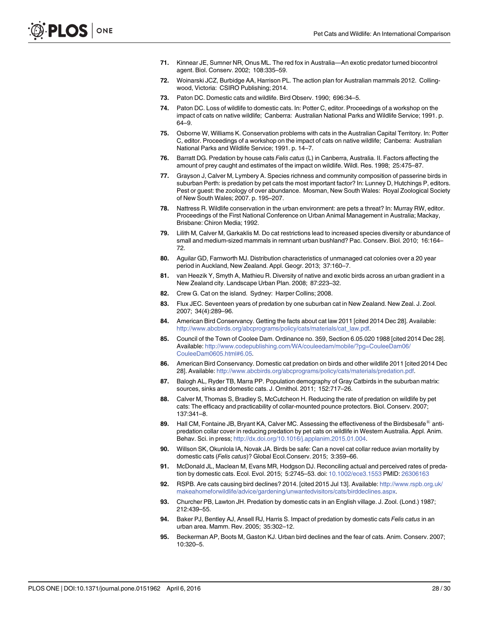- <span id="page-27-0"></span>[71.](#page-17-0) Kinnear JE, Sumner NR, Onus ML. The red fox in Australia—An exotic predator turned biocontrol agent. Biol. Conserv. 2002; 108:335–59.
- [72.](#page-17-0) Woinarski JCZ, Burbidge AA, Harrison PL. The action plan for Australian mammals 2012. Collingwood, Victoria: CSIRO Publishing; 2014.
- [73.](#page-17-0) Paton DC. Domestic cats and wildlife. Bird Observ. 1990; 696:34–5.
- [74.](#page-17-0) Paton DC. Loss of wildlife to domestic cats. In: Potter C, editor. Proceedings of a workshop on the impact of cats on native wildlife; Canberra: Australian National Parks and Wildlife Service; 1991. p. 64–9.
- [75.](#page-17-0) Osborne W, Williams K. Conservation problems with cats in the Australian Capital Territory. In: Potter C, editor. Proceedings of a workshop on the impact of cats on native wildlife; Canberra: Australian National Parks and Wildlife Service; 1991. p. 14–7.
- [76.](#page-17-0) Barratt DG. Predation by house cats Felis catus (L) in Canberra, Australia. II. Factors affecting the amount of prey caught and estimates of the impact on wildlife. Wildl. Res. 1998; 25:475–87.
- [77.](#page-17-0) Grayson J, Calver M, Lymbery A. Species richness and community composition of passerine birds in suburban Perth: is predation by pet cats the most important factor? In: Lunney D, Hutchings P, editors. Pest or guest: the zoology of over abundance. Mosman, New South Wales: Royal Zoological Society of New South Wales; 2007. p. 195–207.
- [78.](#page-17-0) Nattress R. Wildlife conservation in the urban environment: are pets a threat? In: Murray RW, editor. Proceedings of the First National Conference on Urban Animal Management in Australia; Mackay, Brisbane: Chiron Media; 1992.
- [79.](#page-17-0) Lilith M, Calver M, Garkaklis M. Do cat restrictions lead to increased species diversity or abundance of small and medium-sized mammals in remnant urban bushland? Pac. Conserv. Biol. 2010; 16:164– 72.
- [80.](#page-18-0) Aguilar GD, Farnworth MJ. Distribution characteristics of unmanaged cat colonies over a 20 year period in Auckland, New Zealand. Appl. Geogr. 2013; 37:160–7.
- [81.](#page-18-0) van Heezik Y, Smyth A, Mathieu R. Diversity of native and exotic birds across an urban gradient in a New Zealand city. Landscape Urban Plan. 2008; 87:223–32.
- [82.](#page-18-0) Crew G. Cat on the island. Sydney: Harper Collins; 2008.
- [83.](#page-18-0) Flux JEC. Seventeen years of predation by one suburban cat in New Zealand. New Zeal. J. Zool. 2007; 34(4):289–96.
- [84.](#page-18-0) American Bird Conservancy. Getting the facts about cat law 2011 [cited 2014 Dec 28]. Available: [http://www.abcbirds.org/abcprograms/policy/cats/materials/cat\\_law.pdf](http://www.abcbirds.org/abcprograms/policy/cats/materials/cat_law.pdf).
- [85.](#page-18-0) Council of the Town of Coolee Dam. Ordinance no. 359, Section 6.05.020 1988 [cited 2014 Dec 28]. Available: [http://www.codepublishing.com/WA/couleedam/mobile/?pg=CouleeDam06/](http://www.codepublishing.com/WA/couleedam/mobile/?pg=CouleeDam06/CouleeDam0605.html#6.05) [CouleeDam0605.html#6.05](http://www.codepublishing.com/WA/couleedam/mobile/?pg=CouleeDam06/CouleeDam0605.html#6.05).
- [86.](#page-18-0) American Bird Conservancy. Domestic cat predation on birds and other wildlife 2011 [cited 2014 Dec 28]. Available: <http://www.abcbirds.org/abcprograms/policy/cats/materials/predation.pdf>.
- [87.](#page-18-0) Balogh AL, Ryder TB, Marra PP. Population demography of Gray Catbirds in the suburban matrix: sources, sinks and domestic cats. J. Ornithol. 2011; 152:717–26.
- [88.](#page-18-0) Calver M, Thomas S, Bradley S, McCutcheon H. Reducing the rate of predation on wildlife by pet cats: The efficacy and practicability of collar-mounted pounce protectors. Biol. Conserv. 2007; 137:341–8.
- 89. Hall CM, Fontaine JB, Bryant KA, Calver MC. Assessing the effectiveness of the Birdsbesafe $^{\circledR}$  antipredation collar cover in reducing predation by pet cats on wildlife in Western Australia. Appl. Anim. Behav. Sci. in press; [http://dx.doi.org/10.1016/j.applanim.2015.01.004.](http://dx.doi.org/10.1016/j.applanim.2015.01.004)
- [90.](#page-18-0) Willson SK, Okunlola IA, Novak JA. Birds be safe: Can a novel cat collar reduce avian mortality by domestic cats (Felis catus)? Global Ecol.Conserv. 2015; 3:359–66.
- [91.](#page-19-0) McDonald JL, Maclean M, Evans MR, Hodgson DJ. Reconciling actual and perceived rates of predation by domestic cats. Ecol. Evol. 2015; 5:2745–53. doi: [10.1002/ece3.1553](http://dx.doi.org/10.1002/ece3.1553) PMID: [26306163](http://www.ncbi.nlm.nih.gov/pubmed/26306163)
- [92.](#page-19-0) RSPB. Are cats causing bird declines? 2014. [cited 2015 Jul 13]. Available: [http://www.rspb.org.uk/](http://www.rspb.org.uk/makeahomeforwildlife/advice/gardening/unwantedvisitors/cats/birddeclines.aspx) [makeahomeforwildlife/advice/gardening/unwantedvisitors/cats/birddeclines.aspx.](http://www.rspb.org.uk/makeahomeforwildlife/advice/gardening/unwantedvisitors/cats/birddeclines.aspx)
- [93.](#page-19-0) Churcher PB, Lawton JH. Predation by domestic cats in an English village. J. Zool. (Lond.) 1987; 212:439–55.
- [94.](#page-19-0) Baker PJ, Bentley AJ, Ansell RJ, Harris S. Impact of predation by domestic cats Felis catus in an urban area. Mamm. Rev. 2005; 35:302–12.
- [95.](#page-19-0) Beckerman AP, Boots M, Gaston KJ. Urban bird declines and the fear of cats. Anim. Conserv. 2007; 10:320–5.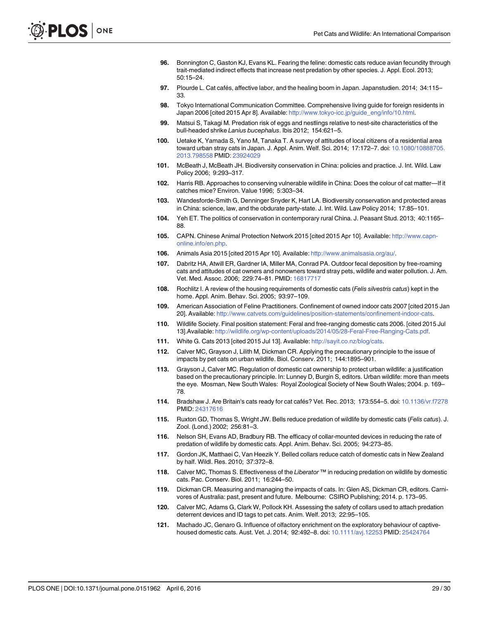- <span id="page-28-0"></span>[96.](#page-19-0) Bonnington C, Gaston KJ, Evans KL. Fearing the feline: domestic cats reduce avian fecundity through trait-mediated indirect effects that increase nest predation by other species. J. Appl. Ecol. 2013; 50:15–24.
- [97.](#page-19-0) Plourde L. Cat cafés, affective labor, and the healing boom in Japan. Japanstudien. 2014; 34:115– 33.
- [98.](#page-19-0) Tokyo International Communication Committee. Comprehensive living guide for foreign residents in Japan 2006 [cited 2015 Apr 8]. Available: [http://www.tokyo-icc.jp/guide\\_eng/info/10.html.](http://www.tokyo-icc.jp/guide_eng/info/10.html)
- [99.](#page-20-0) Matsui S, Takagi M. Predation risk of eggs and nestlings relative to nest-site characteristics of the bull-headed shrike Lanius bucephalus. Ibis 2012; 154:621–5.
- [100.](#page-20-0) Uetake K, Yamada S, Yano M, Tanaka T. A survey of attitudes of local citizens of a residential area toward urban stray cats in Japan. J. Appl. Anim. Welf. Sci. 2014; 17:172–7. doi: [10.1080/10888705.](http://dx.doi.org/10.1080/10888705.2013.798558) [2013.798558](http://dx.doi.org/10.1080/10888705.2013.798558) PMID: [23924029](http://www.ncbi.nlm.nih.gov/pubmed/23924029)
- [101.](#page-20-0) McBeath J, McBeath JH. Biodiversity conservation in China: policies and practice. J. Int. Wild. Law Policy 2006; 9:293–317.
- [102.](#page-20-0) Harris RB. Approaches to conserving vulnerable wildlife in China: Does the colour of cat matter—If it catches mice? Environ. Value 1996; 5:303–34.
- [103.](#page-20-0) Wandesforde-Smith G, Denninger Snyder K, Hart LA. Biodiversity conservation and protected areas in China: science, law, and the obdurate party-state. J. Int. Wild. Law Policy 2014; 17:85–101.
- [104.](#page-20-0) Yeh ET. The politics of conservation in contemporary rural China. J. Peasant Stud. 2013; 40:1165– 88.
- [105.](#page-20-0) CAPN. Chinese Animal Protection Network 2015 [cited 2015 Apr 10]. Available: [http://www.capn](http://www.capn-online.info/en.php)[online.info/en.php](http://www.capn-online.info/en.php).
- [106.](#page-20-0) Animals Asia 2015 [cited 2015 Apr 10]. Available: [http://www.animalsasia.org/au/.](http://www.animalsasia.org/au/)
- [107.](#page-21-0) Dabritz HA, Atwill ER, Gardner IA, Miller MA, Conrad PA. Outdoor fecal deposition by free-roaming cats and attitudes of cat owners and nonowners toward stray pets, wildlife and water pollution. J. Am. Vet. Med. Assoc. 2006; 229:74–81. PMID: [16817717](http://www.ncbi.nlm.nih.gov/pubmed/16817717)
- [108.](#page-21-0) Rochlitz I. A review of the housing requirements of domestic cats (Felis silvestris catus) kept in the home. Appl. Anim. Behav. Sci. 2005; 93:97–109.
- [109.](#page-21-0) American Association of Feline Practitioners. Confinement of owned indoor cats 2007 [cited 2015 Jan 20]. Available: <http://www.catvets.com/guidelines/position-statements/confinement-indoor-cats>.
- [110.](#page-21-0) Wildlife Society. Final position statement: Feral and free-ranging domestic cats 2006. [cited 2015 Jul 13].Available: [http://wildlife.org/wp-content/uploads/2014/05/28-Feral-Free-Ranging-Cats.pdf.](http://wildlife.org/wp-content/uploads/2014/05/28-Feral-Free-Ranging-Cats.pdf)
- [111.](#page-22-0) White G. Cats 2013 [cited 2015 Jul 13]. Available: <http://sayit.co.nz/blog/cats>.
- [112.](#page-22-0) Calver MC, Grayson J, Lilith M, Dickman CR. Applying the precautionary principle to the issue of impacts by pet cats on urban wildlife. Biol. Conserv. 2011; 144:1895–901.
- [113.](#page-22-0) Grayson J, Calver MC. Regulation of domestic cat ownership to protect urban wildlife: a justification based on the precautionary principle. In: Lunney D, Burgin S, editors. Urban wildlife: more than meets the eye. Mosman, New South Wales: Royal Zoological Society of New South Wales; 2004. p. 169– 78.
- [114.](#page-23-0) Bradshaw J. Are Britain's cats ready for cat cafés? Vet. Rec. 2013; 173:554–5. doi: [10.1136/vr.f7278](http://dx.doi.org/10.1136/vr.f7278) PMID: [24317616](http://www.ncbi.nlm.nih.gov/pubmed/24317616)
- [115.](#page-23-0) Ruxton GD, Thomas S, Wright JW. Bells reduce predation of wildlife by domestic cats (Felis catus). J. Zool. (Lond.) 2002; 256:81–3.
- 116. Nelson SH, Evans AD, Bradbury RB. The efficacy of collar-mounted devices in reducing the rate of predation of wildlife by domestic cats. Appl. Anim. Behav. Sci. 2005; 94:273–85.
- 117. Gordon JK, Matthaei C, Van Heezik Y. Belled collars reduce catch of domestic cats in New Zealand by half. Wildl. Res. 2010; 37:372–8.
- 118. Calver MC, Thomas S. Effectiveness of the Liberator ™ in reducing predation on wildlife by domestic cats. Pac. Conserv. Biol. 2011; 16:244–50.
- [119.](#page-23-0) Dickman CR. Measuring and managing the impacts of cats. In: Glen AS, Dickman CR, editors. Carnivores of Australia: past, present and future. Melbourne: CSIRO Publishing; 2014. p. 173–95.
- [120.](#page-23-0) Calver MC, Adams G, Clark W, Pollock KH. Assessing the safety of collars used to attach predation deterrent devices and ID tags to pet cats. Anim. Welf. 2013; 22:95–105.
- [121.](#page-23-0) Machado JC, Genaro G. Influence of olfactory enrichment on the exploratory behaviour of captivehoused domestic cats. Aust. Vet. J. 2014; 92:492–8. doi: [10.1111/avj.12253](http://dx.doi.org/10.1111/avj.12253) PMID: [25424764](http://www.ncbi.nlm.nih.gov/pubmed/25424764)